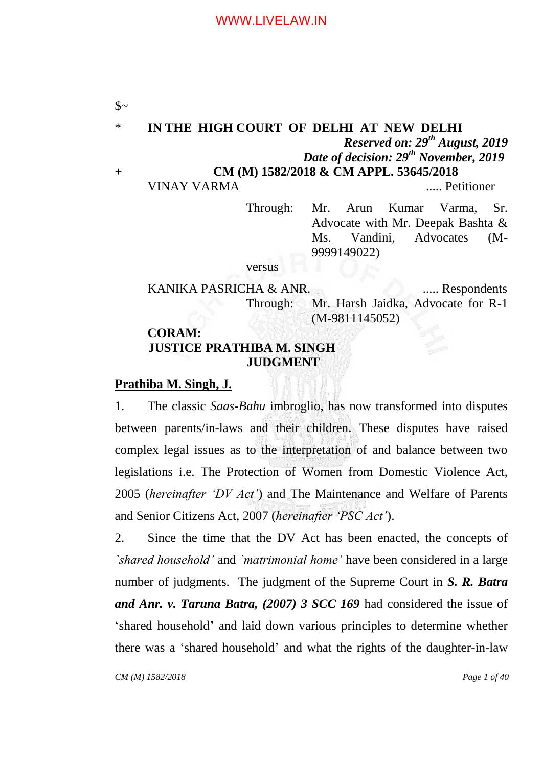$\mathcal{S}$ ~ \* **IN THE HIGH COURT OF DELHI AT NEW DELHI** *Reserved on: 29th August, 2019 Date of decision: 29th November, 2019* + **CM (M) 1582/2018 & CM APPL. 53645/2018** VINAY VARMA ..... Petitioner

> Through: Mr. Arun Kumar Varma, Sr. Advocate with Mr. Deepak Bashta & Ms. Vandini, Advocates (M-9999149022)

versus

KANIKA PASRICHA & ANR. ..... Respondents Through: Mr. Harsh Jaidka, Advocate for R-1 (M-9811145052)

# **CORAM: JUSTICE PRATHIBA M. SINGH JUDGMENT**

### **Prathiba M. Singh, J.**

1. The classic *Saas-Bahu* imbroglio, has now transformed into disputes between parents/in-laws and their children. These disputes have raised complex legal issues as to the interpretation of and balance between two legislations i.e. The Protection of Women from Domestic Violence Act, 2005 (*hereinafter "DV Act"*) and The Maintenance and Welfare of Parents and Senior Citizens Act, 2007 (*hereinafter "PSC Act"*).

2. Since the time that the DV Act has been enacted, the concepts of *`shared household"* and *`matrimonial home"* have been considered in a large number of judgments. The judgment of the Supreme Court in *S. R. Batra and Anr. v. Taruna Batra, (2007) 3 SCC 169* had considered the issue of "shared household" and laid down various principles to determine whether there was a "shared household" and what the rights of the daughter-in-law

*CM (M) 1582/2018 Page 1 of 40*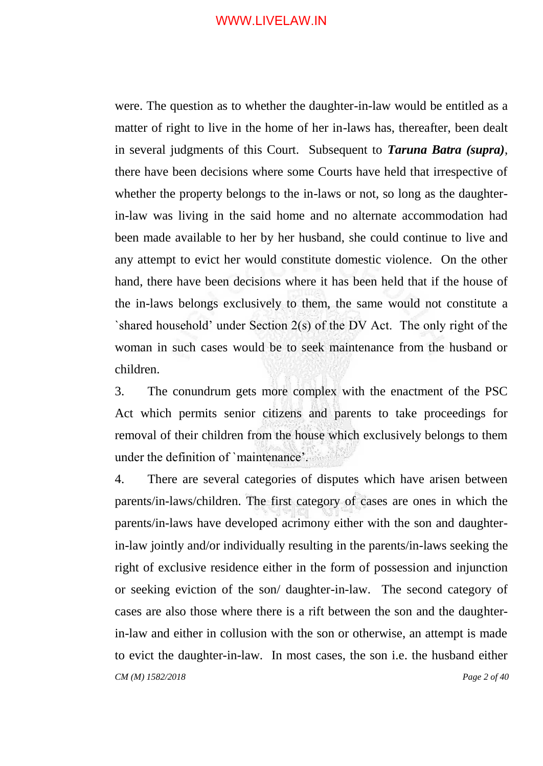were. The question as to whether the daughter-in-law would be entitled as a matter of right to live in the home of her in-laws has, thereafter, been dealt in several judgments of this Court. Subsequent to *Taruna Batra (supra)*, there have been decisions where some Courts have held that irrespective of whether the property belongs to the in-laws or not, so long as the daughterin-law was living in the said home and no alternate accommodation had been made available to her by her husband, she could continue to live and any attempt to evict her would constitute domestic violence. On the other hand, there have been decisions where it has been held that if the house of the in-laws belongs exclusively to them, the same would not constitute a `shared household' under Section  $2(s)$  of the DV Act. The only right of the woman in such cases would be to seek maintenance from the husband or children.

3. The conundrum gets more complex with the enactment of the PSC Act which permits senior citizens and parents to take proceedings for removal of their children from the house which exclusively belongs to them under the definition of `maintenance'.

*CM (M) 1582/2018 Page 2 of 40* 4. There are several categories of disputes which have arisen between parents/in-laws/children. The first category of cases are ones in which the parents/in-laws have developed acrimony either with the son and daughterin-law jointly and/or individually resulting in the parents/in-laws seeking the right of exclusive residence either in the form of possession and injunction or seeking eviction of the son/ daughter-in-law. The second category of cases are also those where there is a rift between the son and the daughterin-law and either in collusion with the son or otherwise, an attempt is made to evict the daughter-in-law. In most cases, the son i.e. the husband either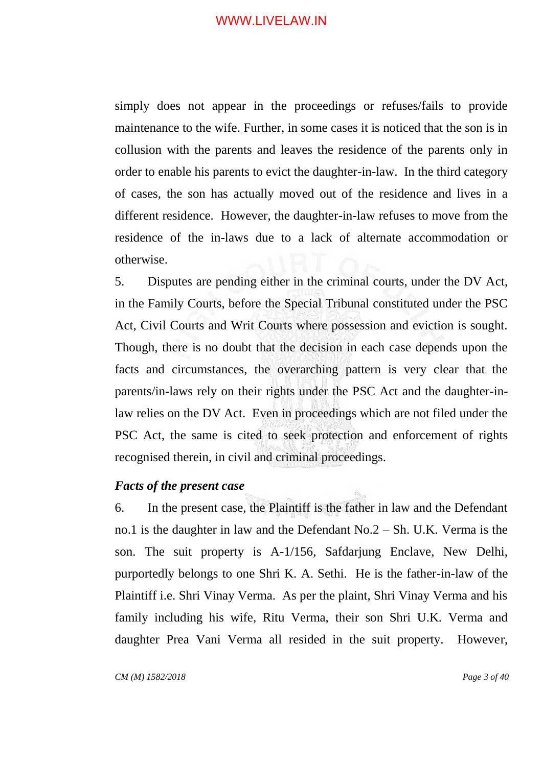simply does not appear in the proceedings or refuses/fails to provide maintenance to the wife. Further, in some cases it is noticed that the son is in collusion with the parents and leaves the residence of the parents only in order to enable his parents to evict the daughter-in-law. In the third category of cases, the son has actually moved out of the residence and lives in a different residence. However, the daughter-in-law refuses to move from the residence of the in-laws due to a lack of alternate accommodation or otherwise.

5. Disputes are pending either in the criminal courts, under the DV Act, in the Family Courts, before the Special Tribunal constituted under the PSC Act, Civil Courts and Writ Courts where possession and eviction is sought. Though, there is no doubt that the decision in each case depends upon the facts and circumstances, the overarching pattern is very clear that the parents/in-laws rely on their rights under the PSC Act and the daughter-inlaw relies on the DV Act. Even in proceedings which are not filed under the PSC Act, the same is cited to seek protection and enforcement of rights recognised therein, in civil and criminal proceedings.

#### *Facts of the present case*

6. In the present case, the Plaintiff is the father in law and the Defendant no.1 is the daughter in law and the Defendant No.2 – Sh. U.K. Verma is the son. The suit property is A-1/156, Safdarjung Enclave, New Delhi, purportedly belongs to one Shri K. A. Sethi. He is the father-in-law of the Plaintiff i.e. Shri Vinay Verma. As per the plaint, Shri Vinay Verma and his family including his wife, Ritu Verma, their son Shri U.K. Verma and daughter Prea Vani Verma all resided in the suit property. However,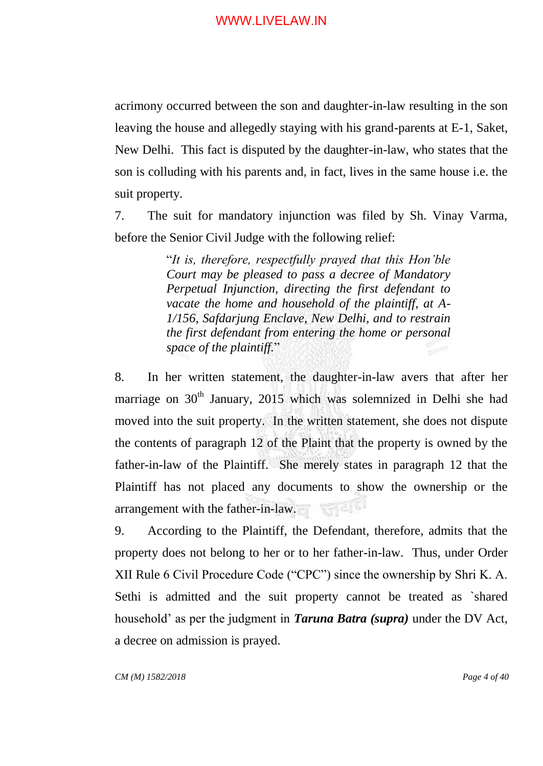acrimony occurred between the son and daughter-in-law resulting in the son leaving the house and allegedly staying with his grand-parents at E-1, Saket, New Delhi. This fact is disputed by the daughter-in-law, who states that the son is colluding with his parents and, in fact, lives in the same house i.e. the suit property.

7. The suit for mandatory injunction was filed by Sh. Vinay Varma, before the Senior Civil Judge with the following relief:

> "*It is, therefore, respectfully prayed that this Hon"ble Court may be pleased to pass a decree of Mandatory Perpetual Injunction, directing the first defendant to vacate the home and household of the plaintiff, at A-1/156, Safdarjung Enclave, New Delhi, and to restrain the first defendant from entering the home or personal space of the plaintiff.*"

8. In her written statement, the daughter-in-law avers that after her marriage on 30<sup>th</sup> January, 2015 which was solemnized in Delhi she had moved into the suit property. In the written statement, she does not dispute the contents of paragraph 12 of the Plaint that the property is owned by the father-in-law of the Plaintiff. She merely states in paragraph 12 that the Plaintiff has not placed any documents to show the ownership or the arrangement with the father-in-law.

9. According to the Plaintiff, the Defendant, therefore, admits that the property does not belong to her or to her father-in-law. Thus, under Order XII Rule 6 Civil Procedure Code ("CPC") since the ownership by Shri K. A. Sethi is admitted and the suit property cannot be treated as `shared household" as per the judgment in *Taruna Batra (supra)* under the DV Act, a decree on admission is prayed.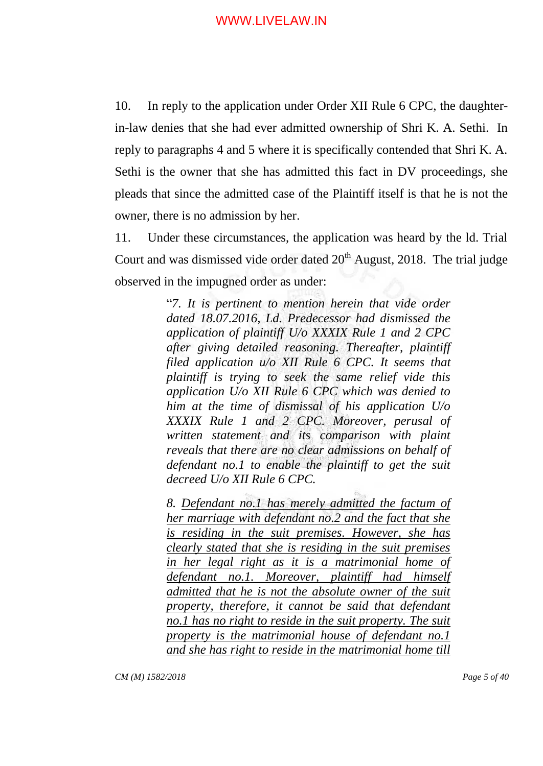10. In reply to the application under Order XII Rule 6 CPC, the daughterin-law denies that she had ever admitted ownership of Shri K. A. Sethi. In reply to paragraphs 4 and 5 where it is specifically contended that Shri K. A. Sethi is the owner that she has admitted this fact in DV proceedings, she pleads that since the admitted case of the Plaintiff itself is that he is not the owner, there is no admission by her.

11. Under these circumstances, the application was heard by the ld. Trial Court and was dismissed vide order dated  $20<sup>th</sup>$  August, 2018. The trial judge observed in the impugned order as under:

> "*7. It is pertinent to mention herein that vide order dated 18.07.2016, Ld. Predecessor had dismissed the application of plaintiff U/o XXXIX Rule 1 and 2 CPC after giving detailed reasoning. Thereafter, plaintiff filed application u/o XII Rule 6 CPC. It seems that plaintiff is trying to seek the same relief vide this application U/o XII Rule 6 CPC which was denied to him at the time of dismissal of his application U/o XXXIX Rule 1 and 2 CPC. Moreover, perusal of written statement and its comparison with plaint reveals that there are no clear admissions on behalf of defendant no.1 to enable the plaintiff to get the suit decreed U/o XII Rule 6 CPC.*

> *8. Defendant no.1 has merely admitted the factum of her marriage with defendant no.2 and the fact that she is residing in the suit premises. However, she has clearly stated that she is residing in the suit premises in her legal right as it is a matrimonial home of defendant no.1. Moreover, plaintiff had himself admitted that he is not the absolute owner of the suit property, therefore, it cannot be said that defendant no.1 has no right to reside in the suit property. The suit property is the matrimonial house of defendant no.1 and she has right to reside in the matrimonial home till*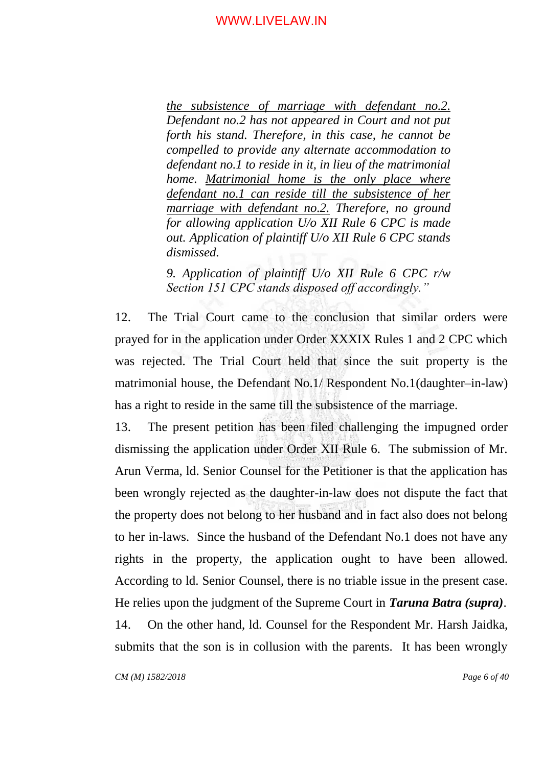*the subsistence of marriage with defendant no.2. Defendant no.2 has not appeared in Court and not put forth his stand. Therefore, in this case, he cannot be compelled to provide any alternate accommodation to defendant no.1 to reside in it, in lieu of the matrimonial home. Matrimonial home is the only place where defendant no.1 can reside till the subsistence of her marriage with defendant no.2. Therefore, no ground for allowing application U/o XII Rule 6 CPC is made out. Application of plaintiff U/o XII Rule 6 CPC stands dismissed.*

*9. Application of plaintiff U/o XII Rule 6 CPC r/w Section 151 CPC stands disposed off accordingly."*

12. The Trial Court came to the conclusion that similar orders were prayed for in the application under Order XXXIX Rules 1 and 2 CPC which was rejected. The Trial Court held that since the suit property is the matrimonial house, the Defendant No.1/ Respondent No.1(daughter–in-law) has a right to reside in the same till the subsistence of the marriage.

13. The present petition has been filed challenging the impugned order dismissing the application under Order XII Rule 6. The submission of Mr. Arun Verma, ld. Senior Counsel for the Petitioner is that the application has been wrongly rejected as the daughter-in-law does not dispute the fact that the property does not belong to her husband and in fact also does not belong to her in-laws. Since the husband of the Defendant No.1 does not have any rights in the property, the application ought to have been allowed. According to ld. Senior Counsel, there is no triable issue in the present case. He relies upon the judgment of the Supreme Court in *Taruna Batra (supra)*. 14. On the other hand, ld. Counsel for the Respondent Mr. Harsh Jaidka, submits that the son is in collusion with the parents. It has been wrongly

*CM (M) 1582/2018 Page 6 of 40*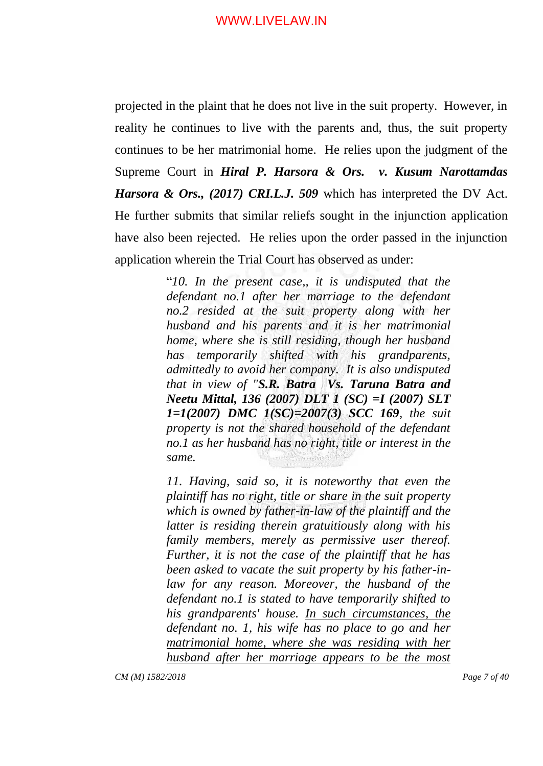projected in the plaint that he does not live in the suit property. However, in reality he continues to live with the parents and, thus, the suit property continues to be her matrimonial home. He relies upon the judgment of the Supreme Court in *Hiral P. Harsora & Ors. v. Kusum Narottamdas Harsora & Ors., (2017) CRI.L.J. 509* which has interpreted the DV Act. He further submits that similar reliefs sought in the injunction application have also been rejected. He relies upon the order passed in the injunction application wherein the Trial Court has observed as under:

> "*10. In the present case,, it is undisputed that the defendant no.1 after her marriage to the defendant no.2 resided at the suit property along with her husband and his parents and it is her matrimonial home, where she is still residing, though her husband has temporarily shifted with his grandparents, admittedly to avoid her company. It is also undisputed that in view of "S.R. Batra Vs. Taruna Batra and Neetu Mittal, 136 (2007) DLT 1 (SC) =I (2007) SLT 1=1(2007) DMC 1(SC)=2007(3) SCC 169, the suit property is not the shared household of the defendant no.1 as her husband has no right, title or interest in the same.*

> *11. Having, said so, it is noteworthy that even the plaintiff has no right, title or share in the suit property which is owned by father-in-law of the plaintiff and the latter is residing therein gratuitiously along with his family members, merely as permissive user thereof. Further, it is not the case of the plaintiff that he has been asked to vacate the suit property by his father-inlaw for any reason. Moreover, the husband of the defendant no.1 is stated to have temporarily shifted to his grandparents' house. In such circumstances, the defendant no. 1, his wife has no place to go and her matrimonial home, where she was residing with her husband after her marriage appears to be the most*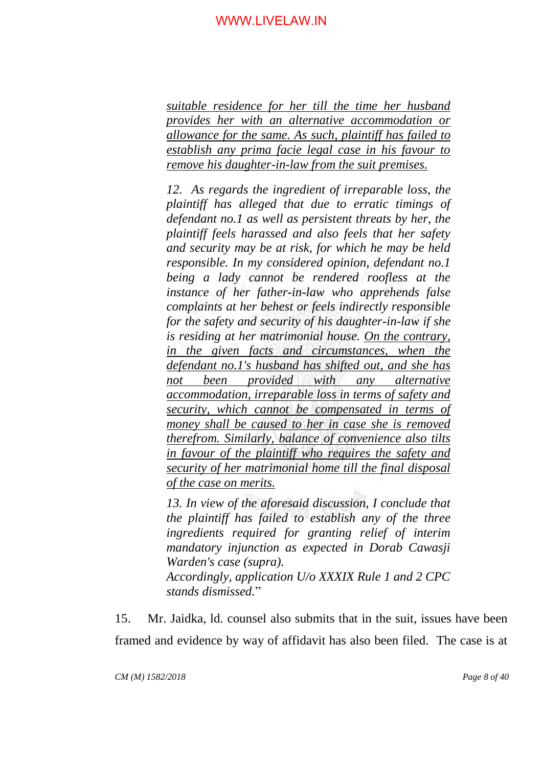*suitable residence for her till the time her husband provides her with an alternative accommodation or allowance for the same. As such, plaintiff has failed to establish any prima facie legal case in his favour to remove his daughter-in-law from the suit premises.*

*12. As regards the ingredient of irreparable loss, the plaintiff has alleged that due to erratic timings of defendant no.1 as well as persistent threats by her, the plaintiff feels harassed and also feels that her safety and security may be at risk, for which he may be held responsible. In my considered opinion, defendant no.1 being a lady cannot be rendered roofless at the instance of her father-in-law who apprehends false complaints at her behest or feels indirectly responsible for the safety and security of his daughter-in-law if she is residing at her matrimonial house. On the contrary, in the given facts and circumstances, when the defendant no.1's husband has shifted out, and she has not been provided with any alternative accommodation, irreparable loss in terms of safety and security, which cannot be compensated in terms of money shall be caused to her in case she is removed therefrom. Similarly, balance of convenience also tilts in favour of the plaintiff who requires the safety and security of her matrimonial home till the final disposal of the case on merits.*

*13. In view of the aforesaid discussion, I conclude that the plaintiff has failed to establish any of the three ingredients required for granting relief of interim mandatory injunction as expected in Dorab Cawasji Warden's case (supra). Accordingly, application U/o XXXIX Rule 1 and 2 CPC stands dismissed.*"

15. Mr. Jaidka, ld. counsel also submits that in the suit, issues have been framed and evidence by way of affidavit has also been filed. The case is at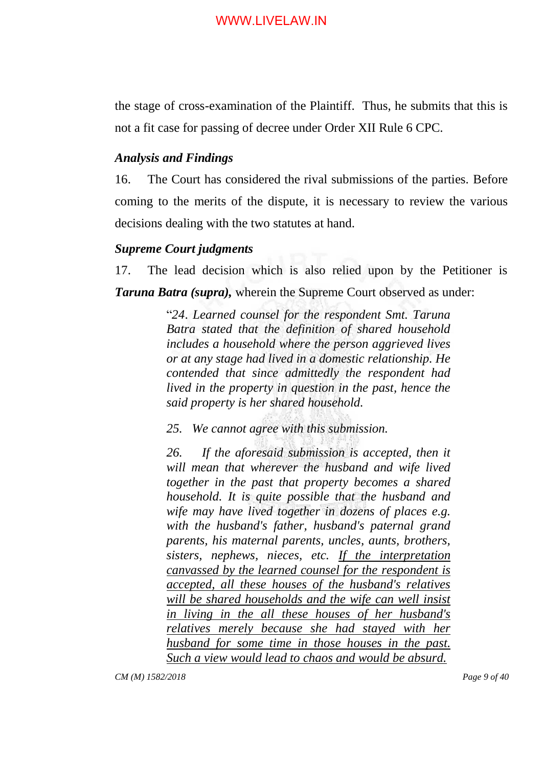the stage of cross-examination of the Plaintiff. Thus, he submits that this is not a fit case for passing of decree under Order XII Rule 6 CPC.

# *Analysis and Findings*

16. The Court has considered the rival submissions of the parties. Before coming to the merits of the dispute, it is necessary to review the various decisions dealing with the two statutes at hand.

# *Supreme Court judgments*

17. The lead decision which is also relied upon by the Petitioner is *Taruna Batra (supra),* wherein the Supreme Court observed as under:

> "*24*. *Learned counsel for the respondent Smt. Taruna Batra stated that the definition of shared household includes a household where the person aggrieved lives or at any stage had lived in a domestic relationship. He contended that since admittedly the respondent had lived in the property in question in the past, hence the said property is her shared household.*

*25. We cannot agree with this submission.*

*26. If the aforesaid submission is accepted, then it will mean that wherever the husband and wife lived together in the past that property becomes a shared household. It is quite possible that the husband and wife may have lived together in dozens of places e.g. with the husband's father, husband's paternal grand parents, his maternal parents, uncles, aunts, brothers, sisters, nephews, nieces, etc. If the interpretation canvassed by the learned counsel for the respondent is accepted, all these houses of the husband's relatives will be shared households and the wife can well insist in living in the all these houses of her husband's relatives merely because she had stayed with her husband for some time in those houses in the past. Such a view would lead to chaos and would be absurd.*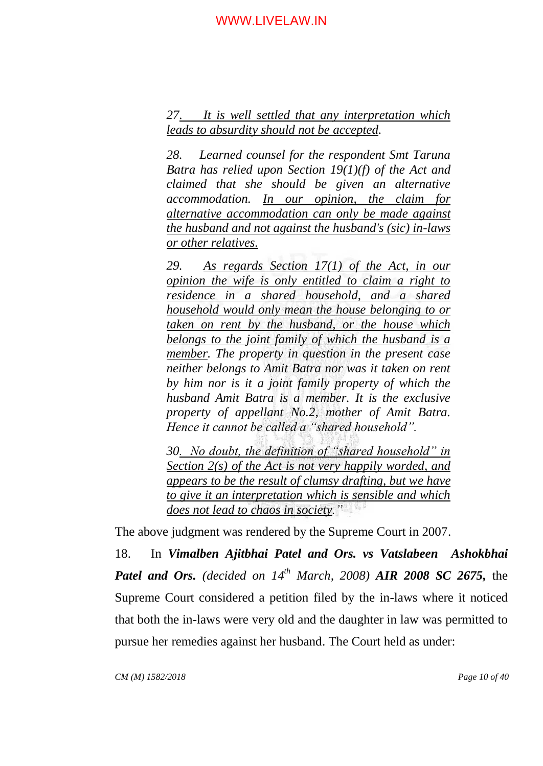*27. It is well settled that any interpretation which leads to absurdity should not be accepted.*

*28. Learned counsel for the respondent Smt Taruna Batra has relied upon Section 19(1)(f) of the Act and claimed that she should be given an alternative accommodation. In our opinion, the claim for alternative accommodation can only be made against the husband and not against the husband's (sic) in-laws or other relatives.*

*29. As regards Section 17(1) of the Act, in our opinion the wife is only entitled to claim a right to residence in a shared household, and a shared household would only mean the house belonging to or taken on rent by the husband, or the house which belongs to the joint family of which the husband is a member. The property in question in the present case neither belongs to Amit Batra nor was it taken on rent by him nor is it a joint family property of which the husband Amit Batra is a member. It is the exclusive property of appellant No.2, mother of Amit Batra. Hence it cannot be called a "shared household".*

*30. No doubt, the definition of "shared household" in Section 2(s) of the Act is not very happily worded, and appears to be the result of clumsy drafting, but we have to give it an interpretation which is sensible and which does not lead to chaos in society."*

The above judgment was rendered by the Supreme Court in 2007.

18. In *Vimalben Ajitbhai Patel and Ors. vs Vatslabeen Ashokbhai Patel and Ors. (decided on 14th March, 2008) AIR 2008 SC 2675,* the Supreme Court considered a petition filed by the in-laws where it noticed that both the in-laws were very old and the daughter in law was permitted to pursue her remedies against her husband. The Court held as under: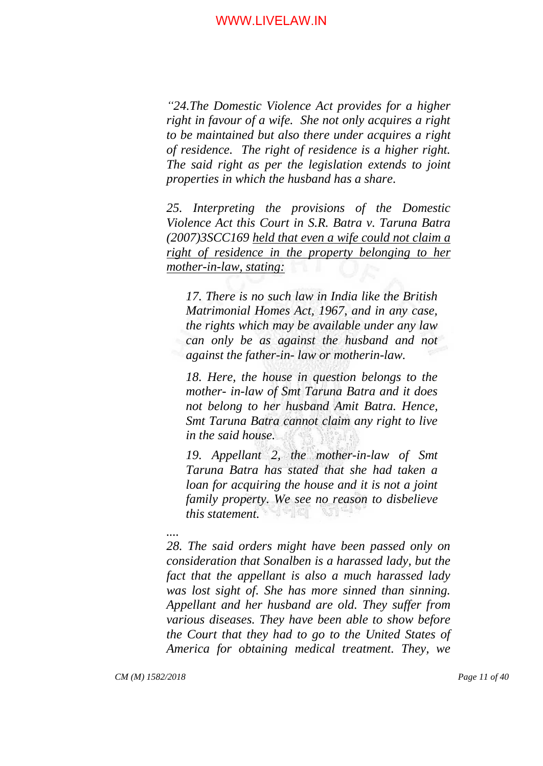*"24.The Domestic Violence Act provides for a higher right in favour of a wife. She not only acquires a right to be maintained but also there under acquires a right of residence. The right of residence is a higher right. The said right as per the legislation extends to joint properties in which the husband has a share.*

*25. Interpreting the provisions of the Domestic Violence Act this Court in S.R. Batra v. Taruna Batra (2007)3SCC169 held that even a wife could not claim a right of residence in the property belonging to her mother-in-law, stating:*

*17. There is no such law in India like the British Matrimonial Homes Act, 1967, and in any case, the rights which may be available under any law can only be as against the husband and not against the father-in- law or motherin-law.* 

*18. Here, the house in question belongs to the mother- in-law of Smt Taruna Batra and it does not belong to her husband Amit Batra. Hence, Smt Taruna Batra cannot claim any right to live in the said house.* 

*19. Appellant 2, the mother-in-law of Smt Taruna Batra has stated that she had taken a loan for acquiring the house and it is not a joint family property. We see no reason to disbelieve this statement.*

# *....*

*28. The said orders might have been passed only on consideration that Sonalben is a harassed lady, but the fact that the appellant is also a much harassed lady was lost sight of. She has more sinned than sinning. Appellant and her husband are old. They suffer from various diseases. They have been able to show before the Court that they had to go to the United States of America for obtaining medical treatment. They, we* 

*CM (M) 1582/2018 Page 11 of 40*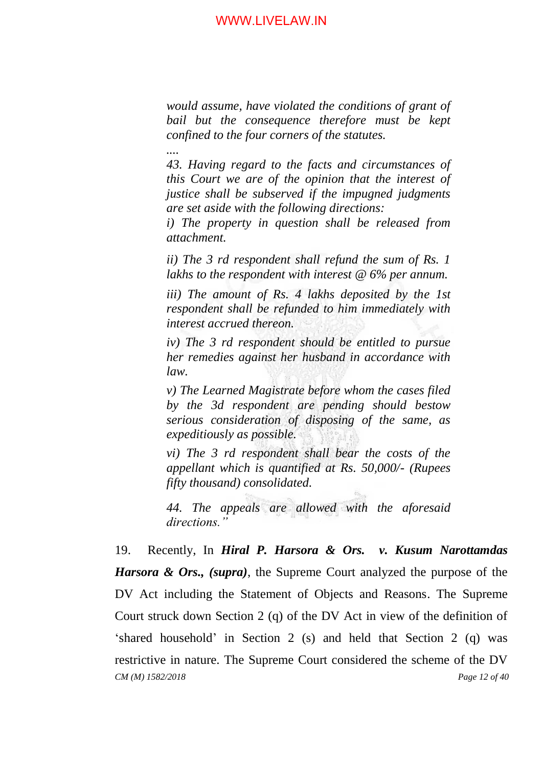*would assume, have violated the conditions of grant of bail but the consequence therefore must be kept confined to the four corners of the statutes.*

*....*

*43. Having regard to the facts and circumstances of this Court we are of the opinion that the interest of justice shall be subserved if the impugned judgments are set aside with the following directions:* 

*i) The property in question shall be released from attachment.*

*ii) The 3 rd respondent shall refund the sum of Rs. 1 lakhs to the respondent with interest @ 6% per annum.*

*iii) The amount of Rs. 4 lakhs deposited by the 1st respondent shall be refunded to him immediately with interest accrued thereon.*

*iv) The 3 rd respondent should be entitled to pursue her remedies against her husband in accordance with law.*

*v) The Learned Magistrate before whom the cases filed by the 3d respondent are pending should bestow serious consideration of disposing of the same, as expeditiously as possible.* 

*vi) The 3 rd respondent shall bear the costs of the appellant which is quantified at Rs. 50,000/- (Rupees fifty thousand) consolidated.* 

*44. The appeals are allowed with the aforesaid directions."*

*CM (M) 1582/2018 Page 12 of 40* 19. Recently, In *Hiral P. Harsora & Ors. v. Kusum Narottamdas Harsora & Ors., (supra)*, the Supreme Court analyzed the purpose of the DV Act including the Statement of Objects and Reasons. The Supreme Court struck down Section 2 (q) of the DV Act in view of the definition of "shared household" in Section 2 (s) and held that Section 2 (q) was restrictive in nature. The Supreme Court considered the scheme of the DV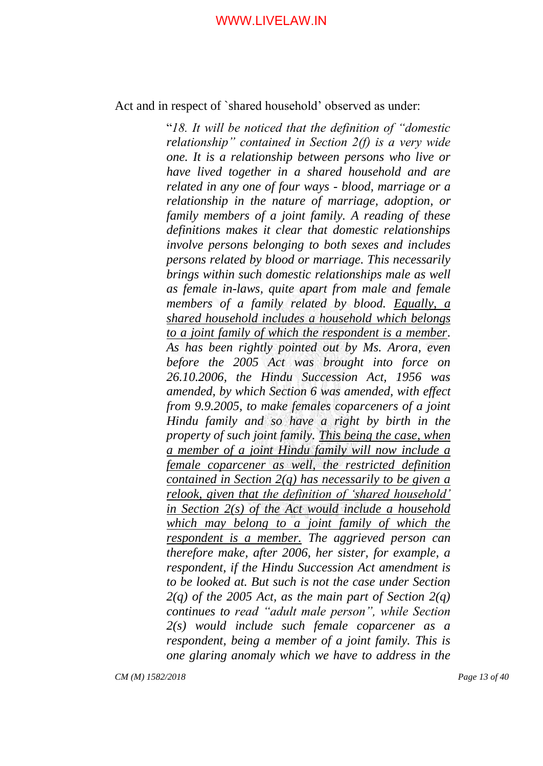Act and in respect of `shared household' observed as under:

"*18. It will be noticed that the definition of "domestic relationship" contained in Section 2(f) is a very wide one. It is a relationship between persons who live or have lived together in a shared household and are related in any one of four ways - blood, marriage or a relationship in the nature of marriage, adoption, or family members of a joint family. A reading of these definitions makes it clear that domestic relationships involve persons belonging to both sexes and includes persons related by blood or marriage. This necessarily brings within such domestic relationships male as well as female in-laws, quite apart from male and female members of a family related by blood. Equally, a shared household includes a household which belongs to a joint family of which the respondent is a member. As has been rightly pointed out by Ms. Arora, even before the 2005 Act was brought into force on 26.10.2006, the Hindu Succession Act, 1956 was amended, by which Section 6 was amended, with effect from 9.9.2005, to make females coparceners of a joint Hindu family and so have a right by birth in the property of such joint family. This being the case, when a member of a joint Hindu family will now include a female coparcener as well, the restricted definition contained in Section 2(q) has necessarily to be given a relook, given that the definition of "shared household" in Section 2(s) of the Act would include a household which may belong to a joint family of which the respondent is a member. The aggrieved person can therefore make, after 2006, her sister, for example, a respondent, if the Hindu Succession Act amendment is to be looked at. But such is not the case under Section 2(q) of the 2005 Act, as the main part of Section 2(q) continues to read "adult male person", while Section 2(s) would include such female coparcener as a respondent, being a member of a joint family. This is one glaring anomaly which we have to address in the* 

*CM (M) 1582/2018 Page 13 of 40*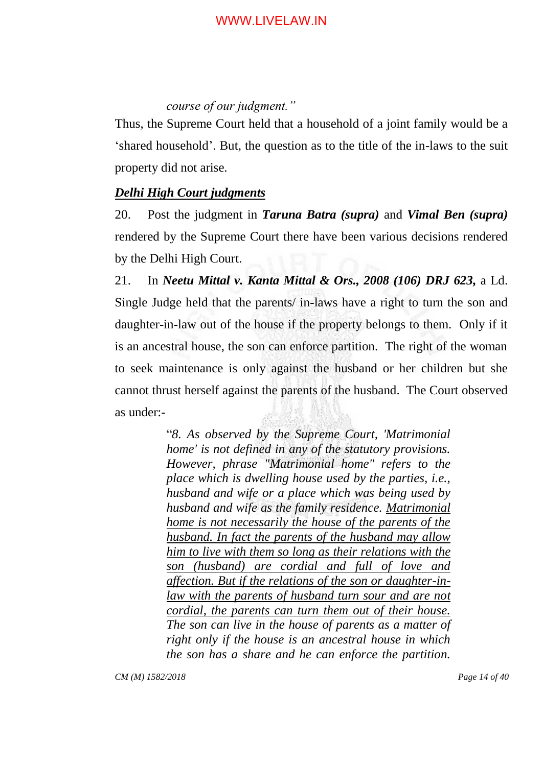# *course of our judgment."*

Thus, the Supreme Court held that a household of a joint family would be a "shared household". But, the question as to the title of the in-laws to the suit property did not arise.

#### *Delhi High Court judgments*

20. Post the judgment in *Taruna Batra (supra)* and *Vimal Ben (supra)* rendered by the Supreme Court there have been various decisions rendered by the Delhi High Court.

21. In *Neetu Mittal v. Kanta Mittal & Ors., 2008 (106) DRJ 623,* a Ld. Single Judge held that the parents/ in-laws have a right to turn the son and daughter-in-law out of the house if the property belongs to them. Only if it is an ancestral house, the son can enforce partition. The right of the woman to seek maintenance is only against the husband or her children but she cannot thrust herself against the parents of the husband. The Court observed as under:-

> "*8. As observed by the Supreme Court, 'Matrimonial home' is not defined in any of the statutory provisions. However, phrase "Matrimonial home" refers to the place which is dwelling house used by the parties, i.e., husband and wife or a place which was being used by husband and wife as the family residence. Matrimonial home is not necessarily the house of the parents of the husband. In fact the parents of the husband may allow him to live with them so long as their relations with the son (husband) are cordial and full of love and affection. But if the relations of the son or daughter-inlaw with the parents of husband turn sour and are not cordial, the parents can turn them out of their house. The son can live in the house of parents as a matter of right only if the house is an ancestral house in which the son has a share and he can enforce the partition.*

*CM (M) 1582/2018 Page 14 of 40*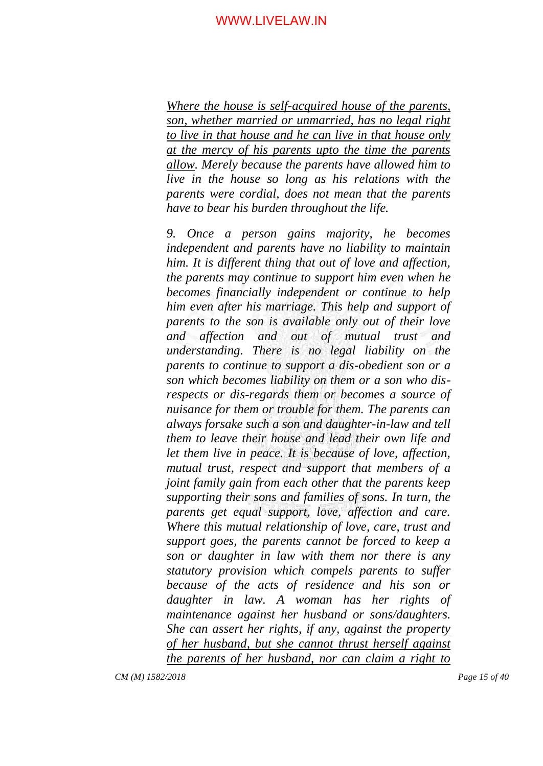*Where the house is self-acquired house of the parents, son, whether married or unmarried, has no legal right to live in that house and he can live in that house only at the mercy of his parents upto the time the parents allow. Merely because the parents have allowed him to live in the house so long as his relations with the parents were cordial, does not mean that the parents have to bear his burden throughout the life.*

*9. Once a person gains majority, he becomes independent and parents have no liability to maintain him. It is different thing that out of love and affection, the parents may continue to support him even when he becomes financially independent or continue to help him even after his marriage. This help and support of parents to the son is available only out of their love and affection and out of mutual trust and understanding. There is no legal liability on the parents to continue to support a dis-obedient son or a son which becomes liability on them or a son who disrespects or dis-regards them or becomes a source of nuisance for them or trouble for them. The parents can always forsake such a son and daughter-in-law and tell them to leave their house and lead their own life and let them live in peace. It is because of love, affection, mutual trust, respect and support that members of a joint family gain from each other that the parents keep supporting their sons and families of sons. In turn, the parents get equal support, love, affection and care. Where this mutual relationship of love, care, trust and support goes, the parents cannot be forced to keep a son or daughter in law with them nor there is any statutory provision which compels parents to suffer because of the acts of residence and his son or daughter in law. A woman has her rights of maintenance against her husband or sons/daughters. She can assert her rights, if any, against the property of her husband, but she cannot thrust herself against the parents of her husband, nor can claim a right to*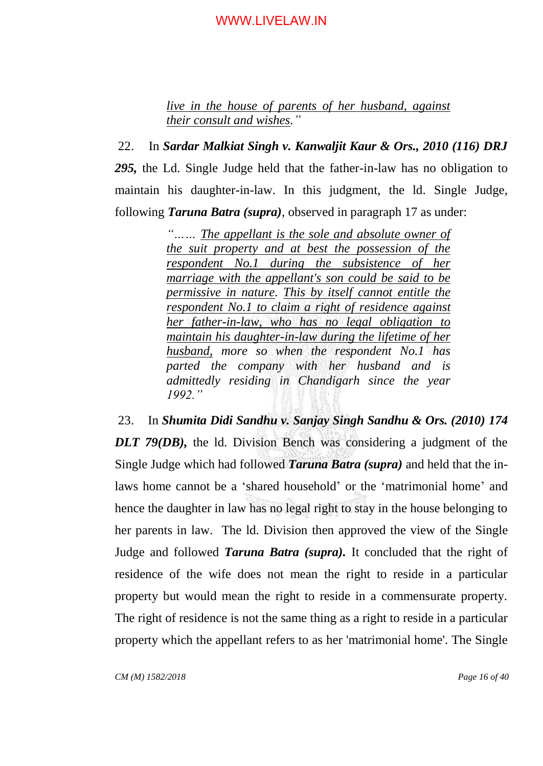*live in the house of parents of her husband, against their consult and wishes."*

22. In *Sardar Malkiat Singh v. Kanwaljit Kaur & Ors., 2010 (116) DRJ 295,* the Ld. Single Judge held that the father-in-law has no obligation to maintain his daughter-in-law. In this judgment, the ld. Single Judge, following *Taruna Batra (supra)*, observed in paragraph 17 as under:

> *"…… The appellant is the sole and absolute owner of the suit property and at best the possession of the respondent No.1 during the subsistence of her marriage with the appellant's son could be said to be permissive in nature. This by itself cannot entitle the respondent No.1 to claim a right of residence against her father-in-law, who has no legal obligation to maintain his daughter-in-law during the lifetime of her husband, more so when the respondent No.1 has parted the company with her husband and is admittedly residing in Chandigarh since the year 1992."*

23. In *Shumita Didi Sandhu v. Sanjay Singh Sandhu & Ors. (2010) 174 DLT 79(DB),* the ld. Division Bench was considering a judgment of the Single Judge which had followed *Taruna Batra (supra)* and held that the inlaws home cannot be a "shared household" or the "matrimonial home" and hence the daughter in law has no legal right to stay in the house belonging to her parents in law. The ld. Division then approved the view of the Single Judge and followed *Taruna Batra (supra).* It concluded that the right of residence of the wife does not mean the right to reside in a particular property but would mean the right to reside in a commensurate property. The right of residence is not the same thing as a right to reside in a particular property which the appellant refers to as her 'matrimonial home'. The Single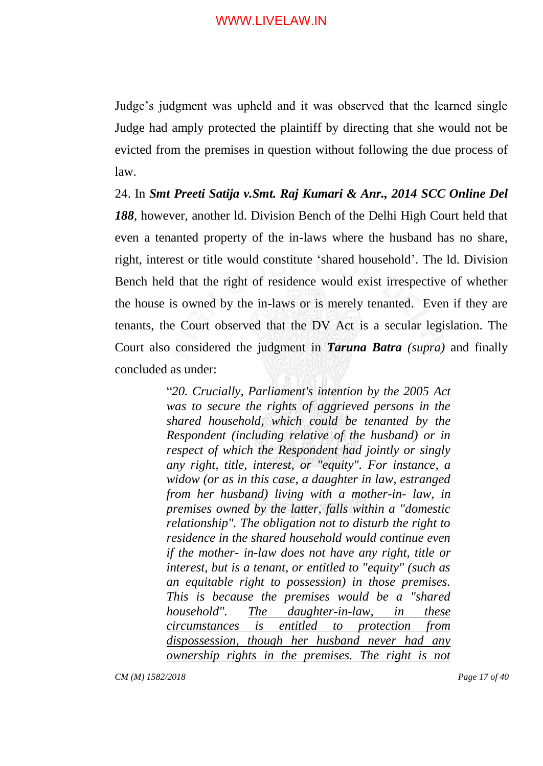Judge"s judgment was upheld and it was observed that the learned single Judge had amply protected the plaintiff by directing that she would not be evicted from the premises in question without following the due process of law.

24. In *Smt Preeti Satija v.Smt. Raj Kumari & Anr., 2014 SCC Online Del 188*, however, another ld. Division Bench of the Delhi High Court held that even a tenanted property of the in-laws where the husband has no share, right, interest or title would constitute "shared household". The ld. Division Bench held that the right of residence would exist irrespective of whether the house is owned by the in-laws or is merely tenanted. Even if they are tenants, the Court observed that the DV Act is a secular legislation. The Court also considered the judgment in *Taruna Batra (supra)* and finally concluded as under:

> "*20. Crucially, Parliament's intention by the 2005 Act was to secure the rights of aggrieved persons in the shared household, which could be tenanted by the Respondent (including relative of the husband) or in respect of which the Respondent had jointly or singly any right, title, interest, or "equity". For instance, a widow (or as in this case, a daughter in law, estranged from her husband) living with a mother-in- law, in premises owned by the latter, falls within a "domestic relationship". The obligation not to disturb the right to residence in the shared household would continue even if the mother- in-law does not have any right, title or interest, but is a tenant, or entitled to "equity" (such as an equitable right to possession) in those premises. This is because the premises would be a "shared household". The daughter-in-law, in these circumstances is entitled to protection from dispossession, though her husband never had any ownership rights in the premises. The right is not*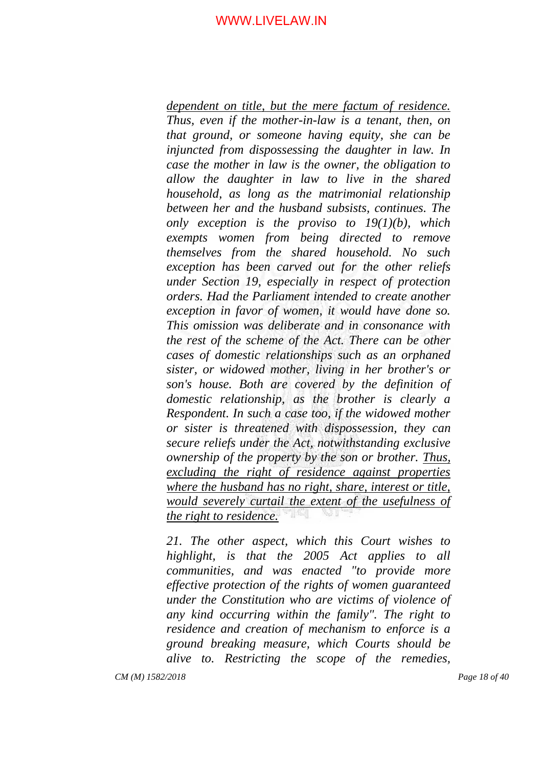*dependent on title, but the mere factum of residence. Thus, even if the mother-in-law is a tenant, then, on that ground, or someone having equity, she can be injuncted from dispossessing the daughter in law. In case the mother in law is the owner, the obligation to allow the daughter in law to live in the shared household, as long as the matrimonial relationship between her and the husband subsists, continues. The only exception is the proviso to 19(1)(b), which exempts women from being directed to remove themselves from the shared household. No such exception has been carved out for the other reliefs under Section 19, especially in respect of protection orders. Had the Parliament intended to create another exception in favor of women, it would have done so. This omission was deliberate and in consonance with the rest of the scheme of the Act. There can be other cases of domestic relationships such as an orphaned sister, or widowed mother, living in her brother's or son's house. Both are covered by the definition of domestic relationship, as the brother is clearly a Respondent. In such a case too, if the widowed mother or sister is threatened with dispossession, they can secure reliefs under the Act, notwithstanding exclusive ownership of the property by the son or brother. Thus, excluding the right of residence against properties where the husband has no right, share, interest or title, would severely curtail the extent of the usefulness of the right to residence.*

*21. The other aspect, which this Court wishes to highlight, is that the 2005 Act applies to all communities, and was enacted "to provide more effective protection of the rights of women guaranteed under the Constitution who are victims of violence of any kind occurring within the family". The right to residence and creation of mechanism to enforce is a ground breaking measure, which Courts should be alive to. Restricting the scope of the remedies,*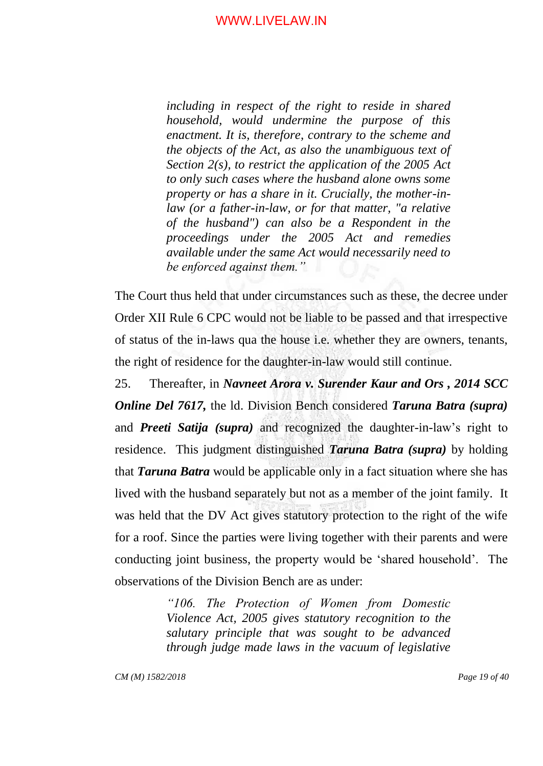*including in respect of the right to reside in shared household, would undermine the purpose of this enactment. It is, therefore, contrary to the scheme and the objects of the Act, as also the unambiguous text of Section 2(s), to restrict the application of the 2005 Act to only such cases where the husband alone owns some property or has a share in it. Crucially, the mother-inlaw (or a father-in-law, or for that matter, "a relative of the husband") can also be a Respondent in the proceedings under the 2005 Act and remedies available under the same Act would necessarily need to be enforced against them."*

The Court thus held that under circumstances such as these, the decree under Order XII Rule 6 CPC would not be liable to be passed and that irrespective of status of the in-laws qua the house i.e. whether they are owners, tenants, the right of residence for the daughter-in-law would still continue.

25. Thereafter, in *Navneet Arora v. Surender Kaur and Ors , 2014 SCC Online Del 7617,* the ld. Division Bench considered *Taruna Batra (supra)* and *Preeti Satija (supra)* and recognized the daughter-in-law"s right to residence. This judgment distinguished *Taruna Batra (supra)* by holding that *Taruna Batra* would be applicable only in a fact situation where she has lived with the husband separately but not as a member of the joint family. It was held that the DV Act gives statutory protection to the right of the wife for a roof. Since the parties were living together with their parents and were conducting joint business, the property would be "shared household". The observations of the Division Bench are as under:

> *"106. The Protection of Women from Domestic Violence Act, 2005 gives statutory recognition to the salutary principle that was sought to be advanced through judge made laws in the vacuum of legislative*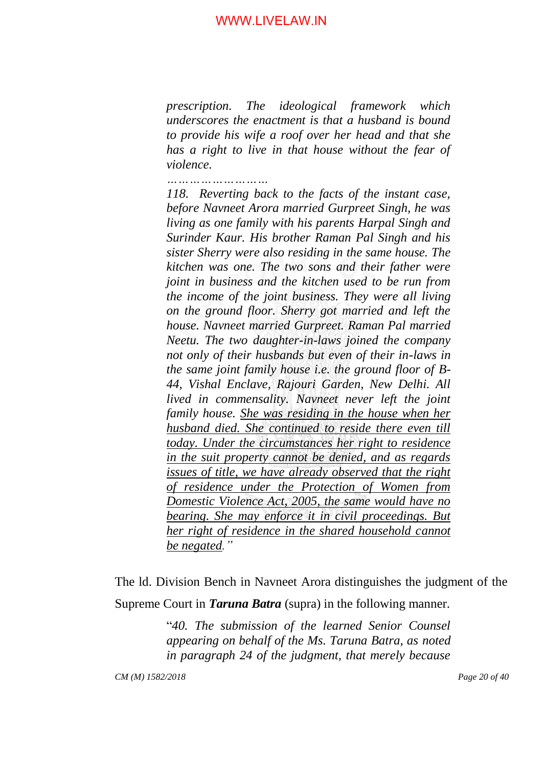*prescription. The ideological framework which underscores the enactment is that a husband is bound to provide his wife a roof over her head and that she has a right to live in that house without the fear of violence.*

*………………………*

*118. Reverting back to the facts of the instant case, before Navneet Arora married Gurpreet Singh, he was living as one family with his parents Harpal Singh and Surinder Kaur. His brother Raman Pal Singh and his sister Sherry were also residing in the same house. The kitchen was one. The two sons and their father were joint in business and the kitchen used to be run from the income of the joint business. They were all living on the ground floor. Sherry got married and left the house. Navneet married Gurpreet. Raman Pal married Neetu. The two daughter-in-laws joined the company not only of their husbands but even of their in-laws in the same joint family house i.e. the ground floor of B-44, Vishal Enclave, Rajouri Garden, New Delhi. All lived in commensality. Navneet never left the joint family house. She was residing in the house when her husband died. She continued to reside there even till today. Under the circumstances her right to residence in the suit property cannot be denied, and as regards issues of title, we have already observed that the right of residence under the Protection of Women from Domestic Violence Act, 2005, the same would have no bearing. She may enforce it in civil proceedings. But her right of residence in the shared household cannot be negated."*

The ld. Division Bench in Navneet Arora distinguishes the judgment of the Supreme Court in *Taruna Batra* (supra) in the following manner.

> "*40. The submission of the learned Senior Counsel appearing on behalf of the Ms. Taruna Batra, as noted in paragraph 24 of the judgment, that merely because*

*CM (M) 1582/2018 Page 20 of 40*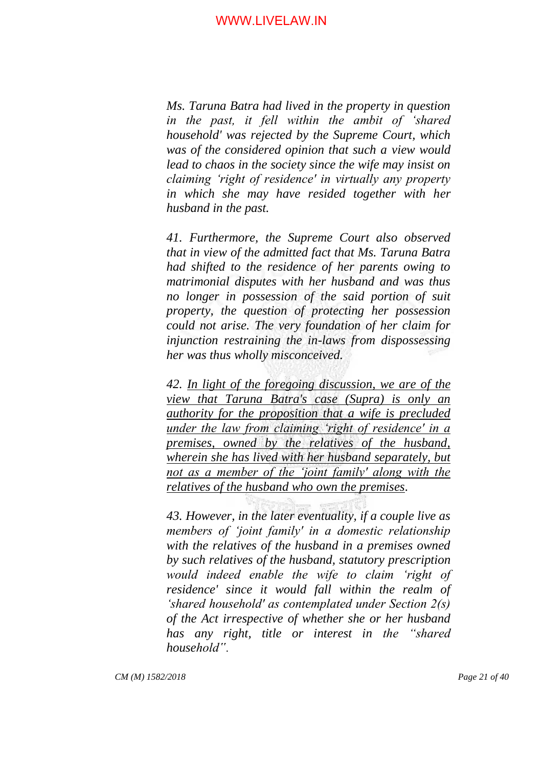*Ms. Taruna Batra had lived in the property in question in the past, it fell within the ambit of "shared household' was rejected by the Supreme Court, which was of the considered opinion that such a view would lead to chaos in the society since the wife may insist on claiming "right of residence' in virtually any property in which she may have resided together with her husband in the past.*

*41. Furthermore, the Supreme Court also observed that in view of the admitted fact that Ms. Taruna Batra had shifted to the residence of her parents owing to matrimonial disputes with her husband and was thus no longer in possession of the said portion of suit property, the question of protecting her possession could not arise. The very foundation of her claim for injunction restraining the in-laws from dispossessing her was thus wholly misconceived.*

*42. In light of the foregoing discussion, we are of the view that Taruna Batra's case (Supra) is only an authority for the proposition that a wife is precluded under the law from claiming "right of residence' in a premises, owned by the relatives of the husband, wherein she has lived with her husband separately, but not as a member of the "joint family' along with the relatives of the husband who own the premises.*

*43. However, in the later eventuality, if a couple live as members of "joint family' in a domestic relationship with the relatives of the husband in a premises owned by such relatives of the husband, statutory prescription would indeed enable the wife to claim "right of residence' since it would fall within the realm of "shared household' as contemplated under Section 2(s) of the Act irrespective of whether she or her husband has any right, title or interest in the "shared household".*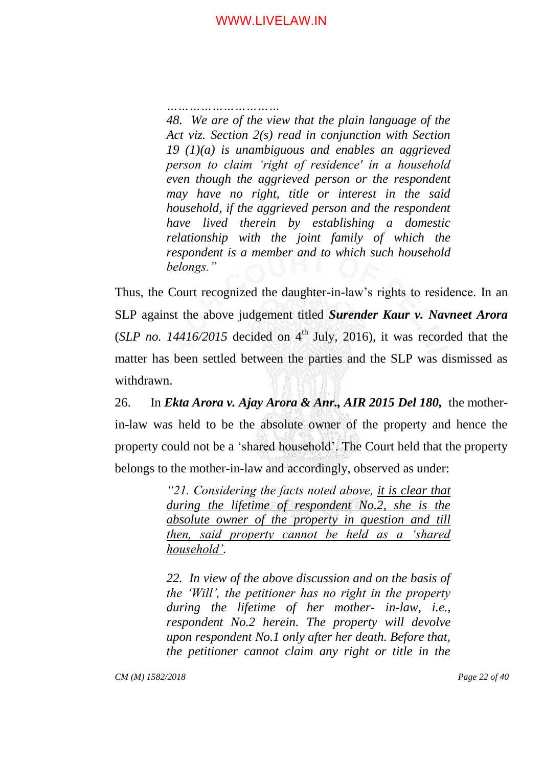*…………………………*

*48. We are of the view that the plain language of the Act viz. Section 2(s) read in conjunction with Section 19 (1)(a) is unambiguous and enables an aggrieved person to claim "right of residence' in a household even though the aggrieved person or the respondent may have no right, title or interest in the said household, if the aggrieved person and the respondent have lived therein by establishing a domestic relationship with the joint family of which the respondent is a member and to which such household belongs."*

Thus, the Court recognized the daughter-in-law"s rights to residence. In an SLP against the above judgement titled *Surender Kaur v. Navneet Arora*  (*SLP no. 14416/2015* decided on  $4<sup>th</sup>$  July, 2016), it was recorded that the matter has been settled between the parties and the SLP was dismissed as withdrawn.

26. In *Ekta Arora v. Ajay Arora & Anr., AIR 2015 Del 180,* the motherin-law was held to be the absolute owner of the property and hence the property could not be a "shared household". The Court held that the property belongs to the mother-in-law and accordingly, observed as under:

> *"21. Considering the facts noted above, it is clear that during the lifetime of respondent No.2, she is the absolute owner of the property in question and till then, said property cannot be held as a "shared household".*

> *22. In view of the above discussion and on the basis of the "Will", the petitioner has no right in the property during the lifetime of her mother- in-law, i.e., respondent No.2 herein. The property will devolve upon respondent No.1 only after her death. Before that, the petitioner cannot claim any right or title in the*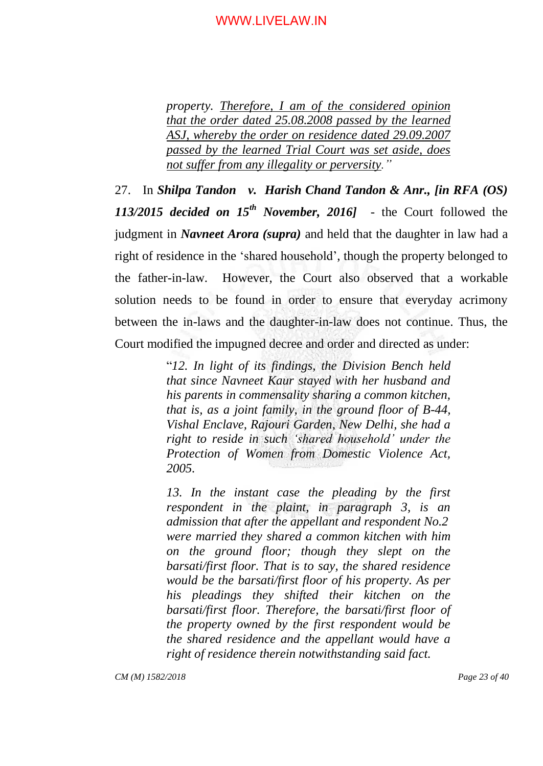*property. Therefore, I am of the considered opinion that the order dated 25.08.2008 passed by the learned ASJ, whereby the order on residence dated 29.09.2007 passed by the learned Trial Court was set aside, does not suffer from any illegality or perversity."*

27. In *Shilpa Tandon v. Harish Chand Tandon & Anr., [in RFA (OS) 113/2015 decided on 15th November, 2016]* - the Court followed the judgment in *Navneet Arora (supra)* and held that the daughter in law had a right of residence in the "shared household", though the property belonged to the father-in-law. However, the Court also observed that a workable solution needs to be found in order to ensure that everyday acrimony between the in-laws and the daughter-in-law does not continue. Thus, the Court modified the impugned decree and order and directed as under:

> "*12. In light of its findings, the Division Bench held that since Navneet Kaur stayed with her husband and his parents in commensality sharing a common kitchen, that is, as a joint family, in the ground floor of B-44, Vishal Enclave, Rajouri Garden, New Delhi, she had a right to reside in such "shared household" under the Protection of Women from Domestic Violence Act, 2005.*

> 13. In the instant case the pleading by the first *respondent in the plaint, in paragraph 3, is an admission that after the appellant and respondent No.2 were married they shared a common kitchen with him on the ground floor; though they slept on the barsati/first floor. That is to say, the shared residence would be the barsati/first floor of his property. As per his pleadings they shifted their kitchen on the barsati/first floor. Therefore, the barsati/first floor of the property owned by the first respondent would be the shared residence and the appellant would have a right of residence therein notwithstanding said fact.*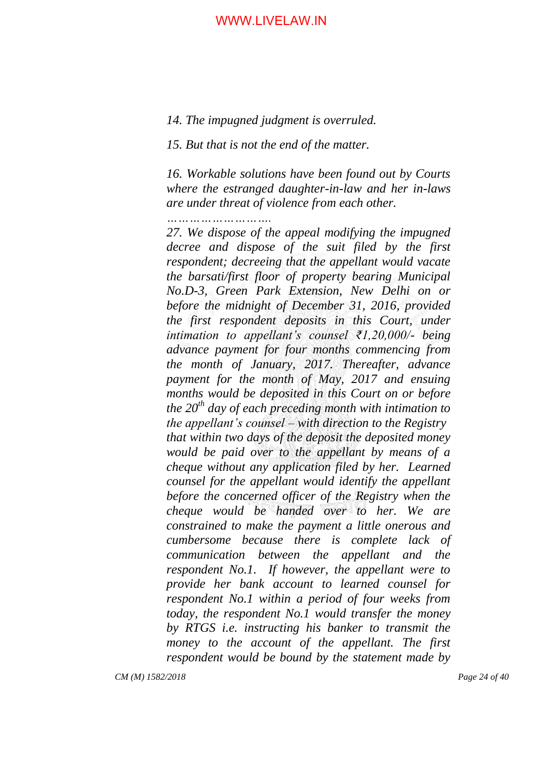#### *14. The impugned judgment is overruled.*

*15. But that is not the end of the matter.*

*16. Workable solutions have been found out by Courts where the estranged daughter-in-law and her in-laws are under threat of violence from each other.*

*……………………….*

*27. We dispose of the appeal modifying the impugned decree and dispose of the suit filed by the first respondent; decreeing that the appellant would vacate the barsati/first floor of property bearing Municipal No.D-3, Green Park Extension, New Delhi on or before the midnight of December 31, 2016, provided the first respondent deposits in this Court, under intimation to appellant"s counsel ₹1,20,000/- being advance payment for four months commencing from the month of January, 2017. Thereafter, advance payment for the month of May, 2017 and ensuing months would be deposited in this Court on or before the 20th day of each preceding month with intimation to the appellant"s counsel – with direction to the Registry that within two days of the deposit the deposited money would be paid over to the appellant by means of a cheque without any application filed by her. Learned counsel for the appellant would identify the appellant before the concerned officer of the Registry when the cheque would be handed over to her. We are constrained to make the payment a little onerous and cumbersome because there is complete lack of communication between the appellant and the respondent No.1. If however, the appellant were to provide her bank account to learned counsel for respondent No.1 within a period of four weeks from today, the respondent No.1 would transfer the money by RTGS i.e. instructing his banker to transmit the money to the account of the appellant. The first respondent would be bound by the statement made by*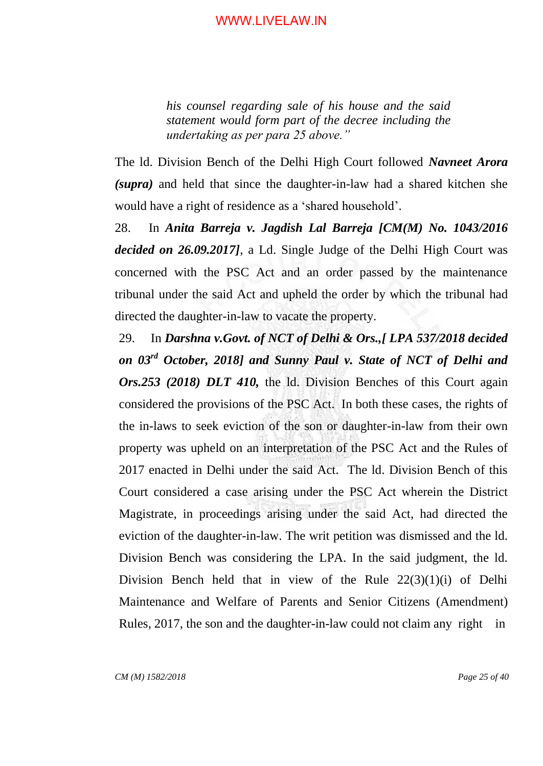*his counsel regarding sale of his house and the said statement would form part of the decree including the undertaking as per para 25 above."*

The ld. Division Bench of the Delhi High Court followed *Navneet Arora (supra)* and held that since the daughter-in-law had a shared kitchen she would have a right of residence as a "shared household".

28. In *Anita Barreja v. Jagdish Lal Barreja [CM(M) No. 1043/2016 decided on 26.09.2017]*, a Ld. Single Judge of the Delhi High Court was concerned with the PSC Act and an order passed by the maintenance tribunal under the said Act and upheld the order by which the tribunal had directed the daughter-in-law to vacate the property.

29. In *Darshna v.Govt. of NCT of Delhi & Ors.,[ LPA 537/2018 decided on 03rd October, 2018] and Sunny Paul v. State of NCT of Delhi and Ors.253 (2018) DLT 410,* the ld. Division Benches of this Court again considered the provisions of the PSC Act. In both these cases, the rights of the in-laws to seek eviction of the son or daughter-in-law from their own property was upheld on an interpretation of the PSC Act and the Rules of 2017 enacted in Delhi under the said Act. The ld. Division Bench of this Court considered a case arising under the PSC Act wherein the District Magistrate, in proceedings arising under the said Act, had directed the eviction of the daughter-in-law. The writ petition was dismissed and the ld. Division Bench was considering the LPA. In the said judgment, the ld. Division Bench held that in view of the Rule 22(3)(1)(i) of Delhi Maintenance and Welfare of Parents and Senior Citizens (Amendment) Rules, 2017, the son and the daughter-in-law could not claim any right in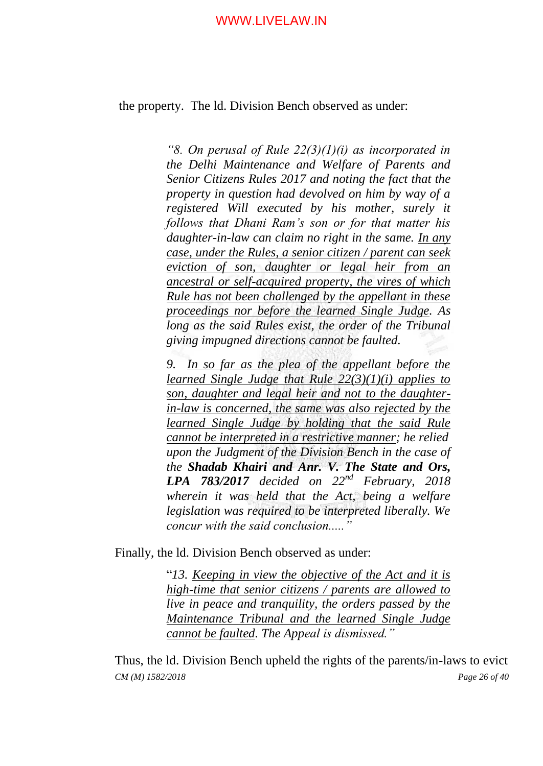the property. The ld. Division Bench observed as under:

*"8. On perusal of Rule 22(3)(1)(i) as incorporated in the Delhi Maintenance and Welfare of Parents and Senior Citizens Rules 2017 and noting the fact that the property in question had devolved on him by way of a registered Will executed by his mother, surely it follows that Dhani Ram"s son or for that matter his daughter-in-law can claim no right in the same. In any case, under the Rules, a senior citizen / parent can seek eviction of son, daughter or legal heir from an ancestral or self-acquired property, the vires of which Rule has not been challenged by the appellant in these proceedings nor before the learned Single Judge. As long as the said Rules exist, the order of the Tribunal giving impugned directions cannot be faulted.*

*9. In so far as the plea of the appellant before the learned Single Judge that Rule 22(3)(1)(i) applies to son, daughter and legal heir and not to the daughterin-law is concerned, the same was also rejected by the learned Single Judge by holding that the said Rule cannot be interpreted in a restrictive manner; he relied upon the Judgment of the Division Bench in the case of the Shadab Khairi and Anr. V. The State and Ors, LPA 783/2017 decided on 22nd February, 2018 wherein it was held that the Act, being a welfare legislation was required to be interpreted liberally. We concur with the said conclusion....."*

Finally, the ld. Division Bench observed as under:

"*13. Keeping in view the objective of the Act and it is high-time that senior citizens / parents are allowed to live in peace and tranquility, the orders passed by the Maintenance Tribunal and the learned Single Judge cannot be faulted. The Appeal is dismissed."*

*CM (M) 1582/2018 Page 26 of 40* Thus, the ld. Division Bench upheld the rights of the parents/in-laws to evict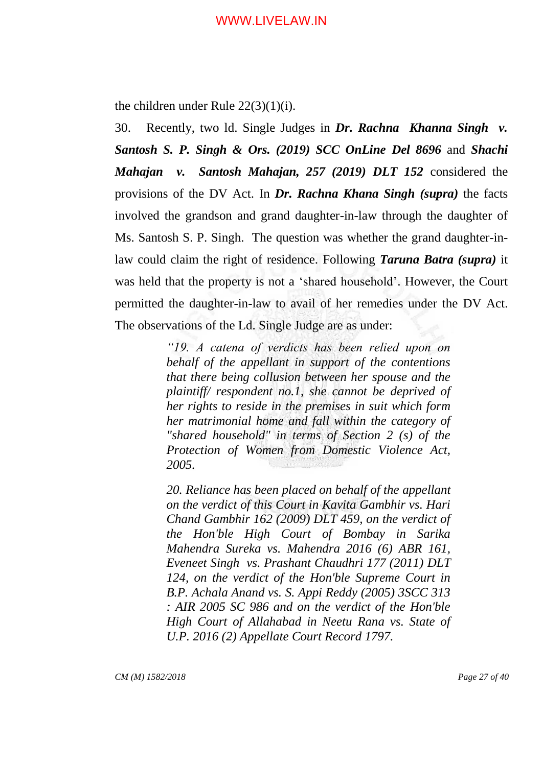the children under Rule 22(3)(1)(i).

30. Recently, two ld. Single Judges in *Dr. Rachna Khanna Singh v. Santosh S. P. Singh & Ors. (2019) SCC OnLine Del 8696* and *Shachi Mahajan v. Santosh Mahajan, 257 (2019) DLT 152* considered the provisions of the DV Act. In *Dr. Rachna Khana Singh (supra)* the facts involved the grandson and grand daughter-in-law through the daughter of Ms. Santosh S. P. Singh. The question was whether the grand daughter-inlaw could claim the right of residence. Following *Taruna Batra (supra)* it was held that the property is not a "shared household". However, the Court permitted the daughter-in-law to avail of her remedies under the DV Act. The observations of the Ld. Single Judge are as under:

> *"19. A catena of verdicts has been relied upon on behalf of the appellant in support of the contentions that there being collusion between her spouse and the plaintiff/ respondent no.1, she cannot be deprived of her rights to reside in the premises in suit which form her matrimonial home and fall within the category of "shared household" in terms of Section 2 (s) of the Protection of Women from Domestic Violence Act, 2005.*

> *20. Reliance has been placed on behalf of the appellant on the verdict of this Court in Kavita Gambhir vs. Hari Chand Gambhir 162 (2009) DLT 459, on the verdict of the Hon'ble High Court of Bombay in Sarika Mahendra Sureka vs. Mahendra 2016 (6) ABR 161, Eveneet Singh vs. Prashant Chaudhri 177 (2011) DLT 124, on the verdict of the Hon'ble Supreme Court in B.P. Achala Anand vs. S. Appi Reddy (2005) 3SCC 313 : AIR 2005 SC 986 and on the verdict of the Hon'ble High Court of Allahabad in Neetu Rana vs. State of U.P. 2016 (2) Appellate Court Record 1797.*

*CM (M) 1582/2018 Page 27 of 40*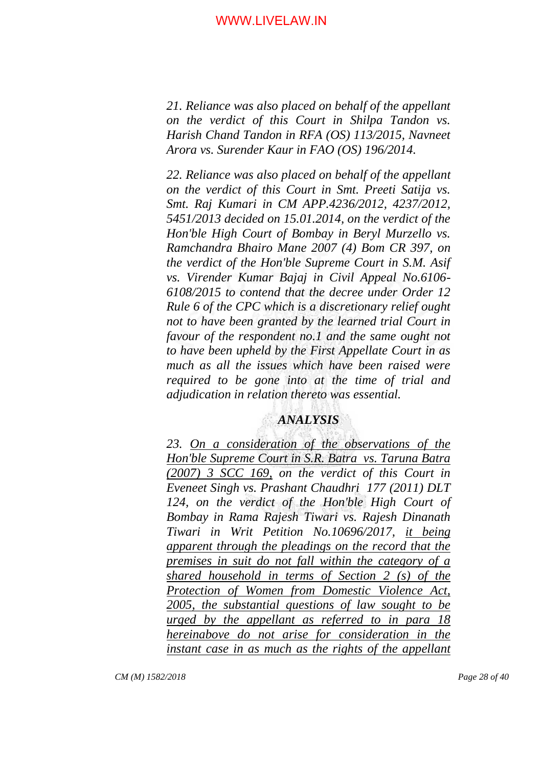*21. Reliance was also placed on behalf of the appellant on the verdict of this Court in Shilpa Tandon vs. Harish Chand Tandon in RFA (OS) 113/2015, Navneet Arora vs. Surender Kaur in FAO (OS) 196/2014.*

*22. Reliance was also placed on behalf of the appellant on the verdict of this Court in Smt. Preeti Satija vs. Smt. Raj Kumari in CM APP.4236/2012, 4237/2012, 5451/2013 decided on 15.01.2014, on the verdict of the Hon'ble High Court of Bombay in Beryl Murzello vs. Ramchandra Bhairo Mane 2007 (4) Bom CR 397, on the verdict of the Hon'ble Supreme Court in S.M. Asif vs. Virender Kumar Bajaj in Civil Appeal No.6106- 6108/2015 to contend that the decree under Order 12 Rule 6 of the CPC which is a discretionary relief ought not to have been granted by the learned trial Court in favour of the respondent no.1 and the same ought not to have been upheld by the First Appellate Court in as much as all the issues which have been raised were required to be gone into at the time of trial and adjudication in relation thereto was essential.*

# *ANALYSIS*

*23. On a consideration of the observations of the Hon'ble Supreme Court in S.R. Batra vs. Taruna Batra (2007) 3 SCC 169, on the verdict of this Court in Eveneet Singh vs. Prashant Chaudhri 177 (2011) DLT 124, on the verdict of the Hon'ble High Court of Bombay in Rama Rajesh Tiwari vs. Rajesh Dinanath Tiwari in Writ Petition No.10696/2017, it being apparent through the pleadings on the record that the premises in suit do not fall within the category of a shared household in terms of Section 2 (s) of the Protection of Women from Domestic Violence Act, 2005, the substantial questions of law sought to be urged by the appellant as referred to in para 18 hereinabove do not arise for consideration in the instant case in as much as the rights of the appellant*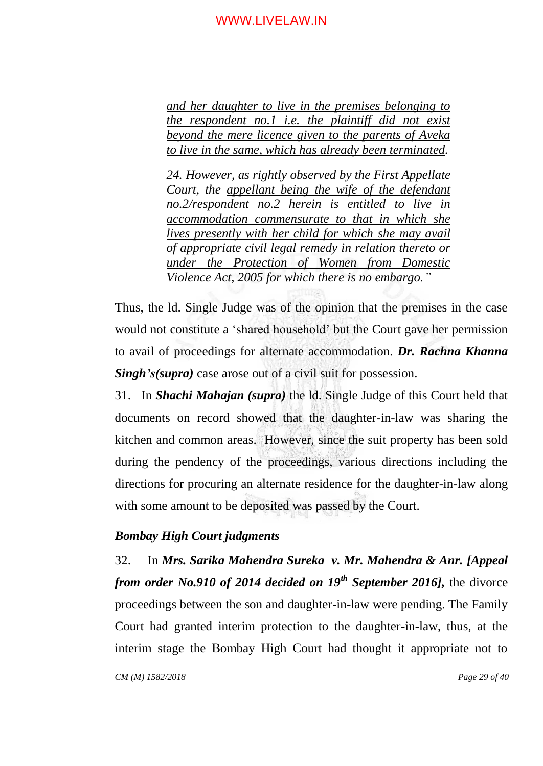*and her daughter to live in the premises belonging to the respondent no.1 i.e. the plaintiff did not exist beyond the mere licence given to the parents of Aveka to live in the same, which has already been terminated.*

*24. However, as rightly observed by the First Appellate Court, the appellant being the wife of the defendant no.2/respondent no.2 herein is entitled to live in accommodation commensurate to that in which she lives presently with her child for which she may avail of appropriate civil legal remedy in relation thereto or under the Protection of Women from Domestic Violence Act, 2005 for which there is no embargo."*

Thus, the ld. Single Judge was of the opinion that the premises in the case would not constitute a "shared household" but the Court gave her permission to avail of proceedings for alternate accommodation. *Dr. Rachna Khanna Singh's(supra)* case arose out of a civil suit for possession.

31. In *Shachi Mahajan (supra)* the ld. Single Judge of this Court held that documents on record showed that the daughter-in-law was sharing the kitchen and common areas. However, since the suit property has been sold during the pendency of the proceedings, various directions including the directions for procuring an alternate residence for the daughter-in-law along with some amount to be deposited was passed by the Court.

# *Bombay High Court judgments*

*CM (M) 1582/2018 Page 29 of 40* 32. In *Mrs. Sarika Mahendra Sureka v. Mr. Mahendra & Anr. [Appeal from order No.910 of 2014 decided on 19th September 2016],* the divorce proceedings between the son and daughter-in-law were pending. The Family Court had granted interim protection to the daughter-in-law, thus, at the interim stage the Bombay High Court had thought it appropriate not to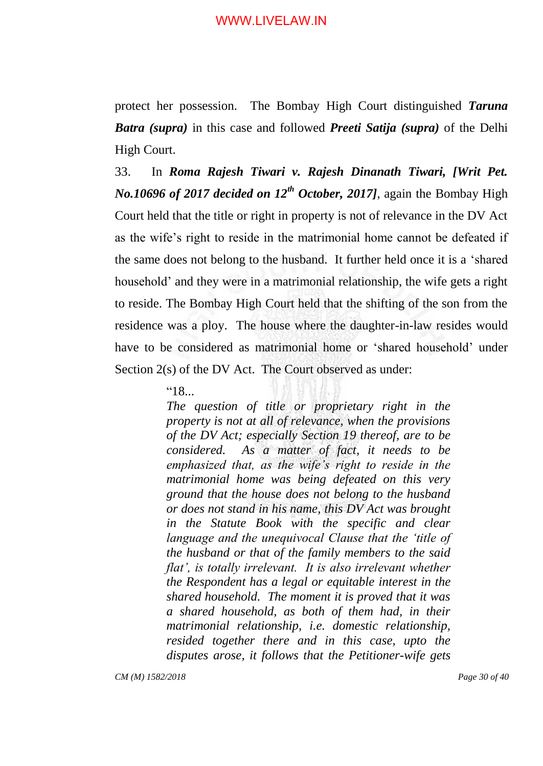protect her possession. The Bombay High Court distinguished *Taruna Batra (supra)* in this case and followed *Preeti Satija (supra)* of the Delhi High Court.

33. In *Roma Rajesh Tiwari v. Rajesh Dinanath Tiwari, [Writ Pet. No.10696 of 2017 decided on 12th October, 2017]*, again the Bombay High Court held that the title or right in property is not of relevance in the DV Act as the wife"s right to reside in the matrimonial home cannot be defeated if the same does not belong to the husband. It further held once it is a "shared household' and they were in a matrimonial relationship, the wife gets a right to reside. The Bombay High Court held that the shifting of the son from the residence was a ploy. The house where the daughter-in-law resides would have to be considered as matrimonial home or 'shared household' under Section 2(s) of the DV Act. The Court observed as under:

"18...

*The question of title or proprietary right in the property is not at all of relevance, when the provisions of the DV Act; especially Section 19 thereof, are to be considered. As a matter of fact, it needs to be emphasized that, as the wife"s right to reside in the matrimonial home was being defeated on this very ground that the house does not belong to the husband or does not stand in his name, this DV Act was brought in the Statute Book with the specific and clear language and the unequivocal Clause that the "title of the husband or that of the family members to the said flat", is totally irrelevant. It is also irrelevant whether the Respondent has a legal or equitable interest in the shared household. The moment it is proved that it was a shared household, as both of them had, in their matrimonial relationship, i.e. domestic relationship, resided together there and in this case, upto the disputes arose, it follows that the Petitioner-wife gets* 

*CM (M) 1582/2018 Page 30 of 40*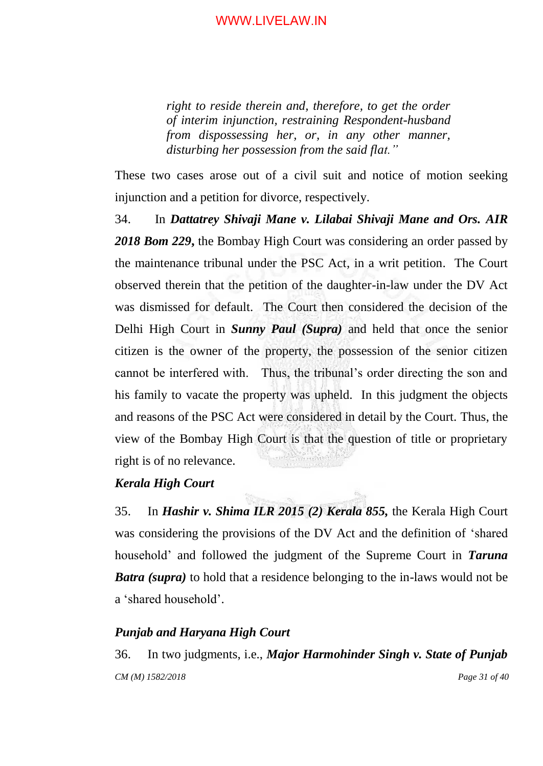*right to reside therein and, therefore, to get the order of interim injunction, restraining Respondent-husband from dispossessing her, or, in any other manner, disturbing her possession from the said flat."*

These two cases arose out of a civil suit and notice of motion seeking injunction and a petition for divorce, respectively.

34. In *Dattatrey Shivaji Mane v. Lilabai Shivaji Mane and Ors. AIR 2018 Bom 229***,** the Bombay High Court was considering an order passed by the maintenance tribunal under the PSC Act, in a writ petition. The Court observed therein that the petition of the daughter-in-law under the DV Act was dismissed for default. The Court then considered the decision of the Delhi High Court in *Sunny Paul (Supra)* and held that once the senior citizen is the owner of the property, the possession of the senior citizen cannot be interfered with. Thus, the tribunal"s order directing the son and his family to vacate the property was upheld. In this judgment the objects and reasons of the PSC Act were considered in detail by the Court. Thus, the view of the Bombay High Court is that the question of title or proprietary right is of no relevance.

# *Kerala High Court*

35. In *Hashir v. Shima ILR 2015 (2) Kerala 855,* the Kerala High Court was considering the provisions of the DV Act and the definition of "shared household" and followed the judgment of the Supreme Court in *Taruna Batra (supra)* to hold that a residence belonging to the in-laws would not be a "shared household".

#### *Punjab and Haryana High Court*

*CM (M) 1582/2018 Page 31 of 40* 36. In two judgments, i.e., *Major Harmohinder Singh v. State of Punjab*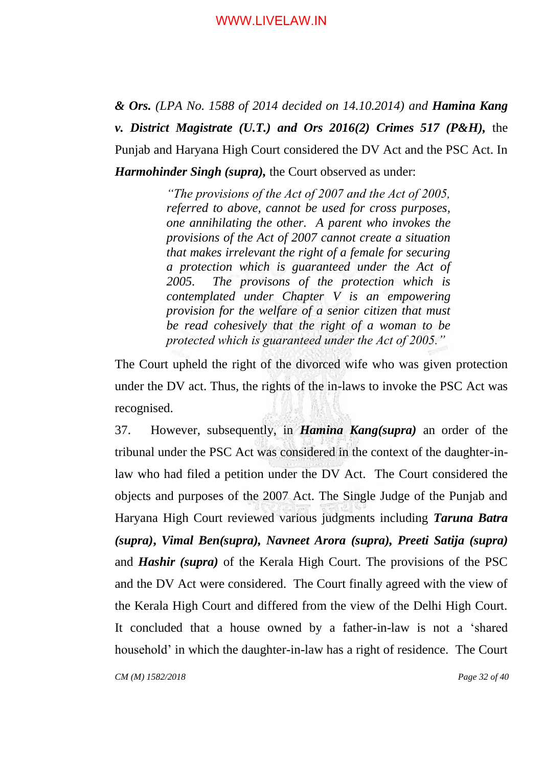*& Ors. (LPA No. 1588 of 2014 decided on 14.10.2014) and Hamina Kang v. District Magistrate (U.T.) and Ors 2016(2) Crimes 517 (P&H),* the Punjab and Haryana High Court considered the DV Act and the PSC Act. In *Harmohinder Singh (supra),* the Court observed as under:

> *"The provisions of the Act of 2007 and the Act of 2005, referred to above, cannot be used for cross purposes, one annihilating the other. A parent who invokes the provisions of the Act of 2007 cannot create a situation that makes irrelevant the right of a female for securing a protection which is guaranteed under the Act of 2005. The provisons of the protection which is contemplated under Chapter V is an empowering provision for the welfare of a senior citizen that must be read cohesively that the right of a woman to be protected which is guaranteed under the Act of 2005."*

The Court upheld the right of the divorced wife who was given protection under the DV act. Thus, the rights of the in-laws to invoke the PSC Act was recognised.

37. However, subsequently, in *Hamina Kang(supra)* an order of the tribunal under the PSC Act was considered in the context of the daughter-inlaw who had filed a petition under the DV Act. The Court considered the objects and purposes of the 2007 Act. The Single Judge of the Punjab and Haryana High Court reviewed various judgments including *Taruna Batra (supra)***,** *Vimal Ben(supra), Navneet Arora (supra), Preeti Satija (supra)* and *Hashir (supra)* of the Kerala High Court. The provisions of the PSC and the DV Act were considered. The Court finally agreed with the view of the Kerala High Court and differed from the view of the Delhi High Court. It concluded that a house owned by a father-in-law is not a "shared household' in which the daughter-in-law has a right of residence. The Court

*CM (M) 1582/2018 Page 32 of 40*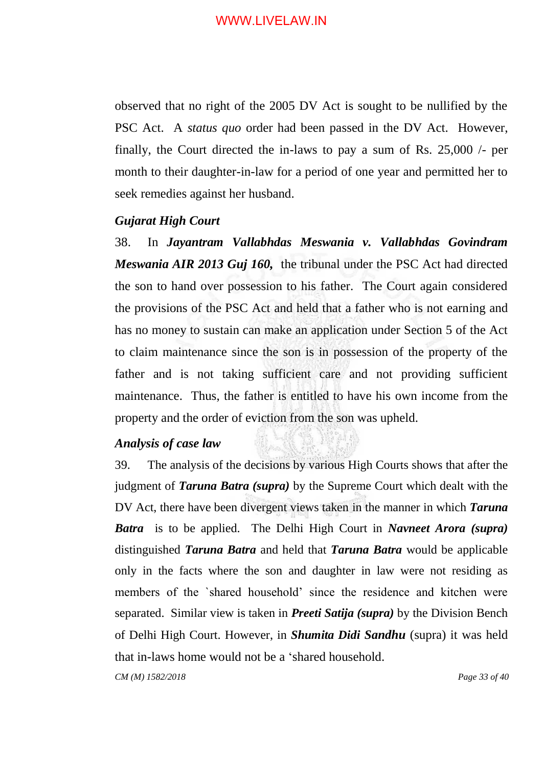observed that no right of the 2005 DV Act is sought to be nullified by the PSC Act. A *status quo* order had been passed in the DV Act. However, finally, the Court directed the in-laws to pay a sum of Rs. 25,000 /- per month to their daughter-in-law for a period of one year and permitted her to seek remedies against her husband.

#### *Gujarat High Court*

38. In *Jayantram Vallabhdas Meswania v. Vallabhdas Govindram Meswania AIR 2013 Guj 160,* the tribunal under the PSC Act had directed the son to hand over possession to his father. The Court again considered the provisions of the PSC Act and held that a father who is not earning and has no money to sustain can make an application under Section 5 of the Act to claim maintenance since the son is in possession of the property of the father and is not taking sufficient care and not providing sufficient maintenance. Thus, the father is entitled to have his own income from the property and the order of eviction from the son was upheld.

# *Analysis of case law*

39. The analysis of the decisions by various High Courts shows that after the judgment of *Taruna Batra (supra)* by the Supreme Court which dealt with the DV Act, there have been divergent views taken in the manner in which *Taruna Batra* is to be applied. The Delhi High Court in *Navneet Arora (supra)*  distinguished *Taruna Batra* and held that *Taruna Batra* would be applicable only in the facts where the son and daughter in law were not residing as members of the `shared household" since the residence and kitchen were separated. Similar view is taken in *Preeti Satija (supra)* by the Division Bench of Delhi High Court. However, in *Shumita Didi Sandhu* (supra) it was held that in-laws home would not be a "shared household.

*CM (M) 1582/2018 Page 33 of 40*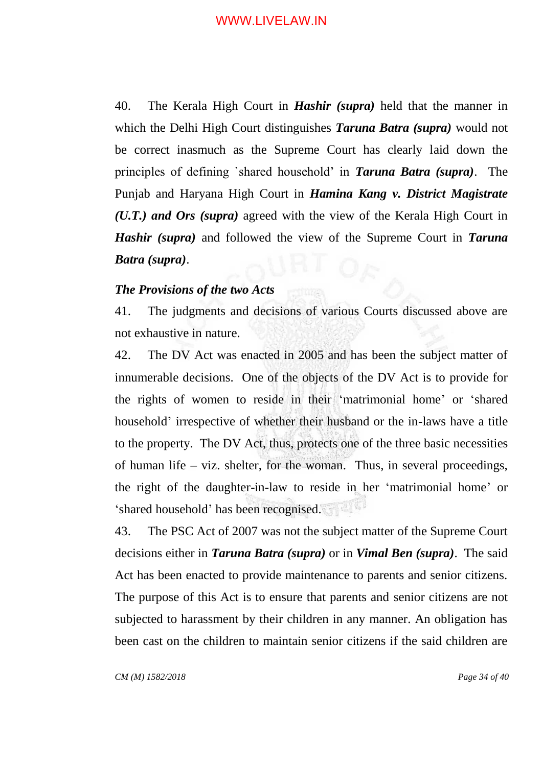40. The Kerala High Court in *Hashir (supra)* held that the manner in which the Delhi High Court distinguishes *Taruna Batra (supra)* would not be correct inasmuch as the Supreme Court has clearly laid down the principles of defining `shared household" in *Taruna Batra (supra)*. The Punjab and Haryana High Court in *Hamina Kang v. District Magistrate (U.T.) and Ors (supra)* agreed with the view of the Kerala High Court in *Hashir (supra)* and followed the view of the Supreme Court in *Taruna Batra (supra)*.

# *The Provisions of the two Acts*

41. The judgments and decisions of various Courts discussed above are not exhaustive in nature.

42. The DV Act was enacted in 2005 and has been the subject matter of innumerable decisions. One of the objects of the DV Act is to provide for the rights of women to reside in their "matrimonial home" or "shared household" irrespective of whether their husband or the in-laws have a title to the property. The DV Act, thus, protects one of the three basic necessities of human life – viz. shelter, for the woman. Thus, in several proceedings, the right of the daughter-in-law to reside in her "matrimonial home" or "shared household" has been recognised.

43. The PSC Act of 2007 was not the subject matter of the Supreme Court decisions either in *Taruna Batra (supra)* or in *Vimal Ben (supra)*. The said Act has been enacted to provide maintenance to parents and senior citizens. The purpose of this Act is to ensure that parents and senior citizens are not subjected to harassment by their children in any manner. An obligation has been cast on the children to maintain senior citizens if the said children are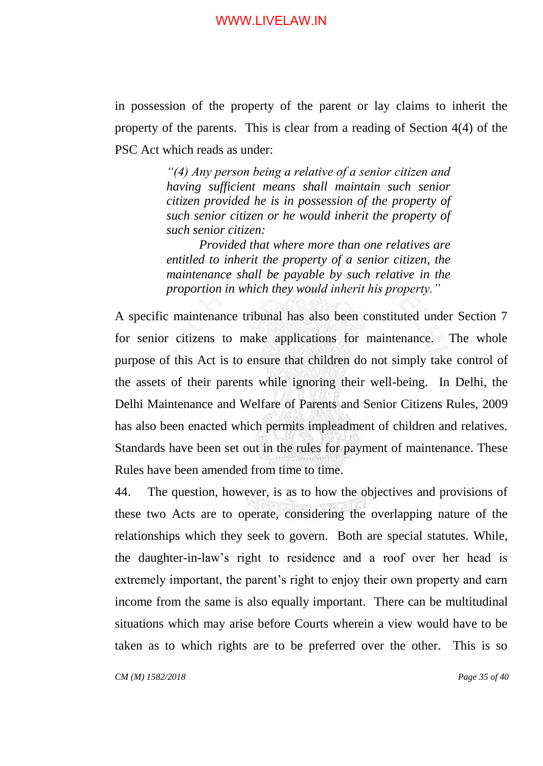in possession of the property of the parent or lay claims to inherit the property of the parents. This is clear from a reading of Section 4(4) of the PSC Act which reads as under:

> *"(4) Any person being a relative of a senior citizen and having sufficient means shall maintain such senior citizen provided he is in possession of the property of such senior citizen or he would inherit the property of such senior citizen:*

> *Provided that where more than one relatives are entitled to inherit the property of a senior citizen, the maintenance shall be payable by such relative in the proportion in which they would inherit his property."*

A specific maintenance tribunal has also been constituted under Section 7 for senior citizens to make applications for maintenance. The whole purpose of this Act is to ensure that children do not simply take control of the assets of their parents while ignoring their well-being. In Delhi, the Delhi Maintenance and Welfare of Parents and Senior Citizens Rules, 2009 has also been enacted which permits impleadment of children and relatives. Standards have been set out in the rules for payment of maintenance. These Rules have been amended from time to time.

44. The question, however, is as to how the objectives and provisions of these two Acts are to operate, considering the overlapping nature of the relationships which they seek to govern. Both are special statutes. While, the daughter-in-law"s right to residence and a roof over her head is extremely important, the parent's right to enjoy their own property and earn income from the same is also equally important. There can be multitudinal situations which may arise before Courts wherein a view would have to be taken as to which rights are to be preferred over the other. This is so

*CM (M) 1582/2018 Page 35 of 40*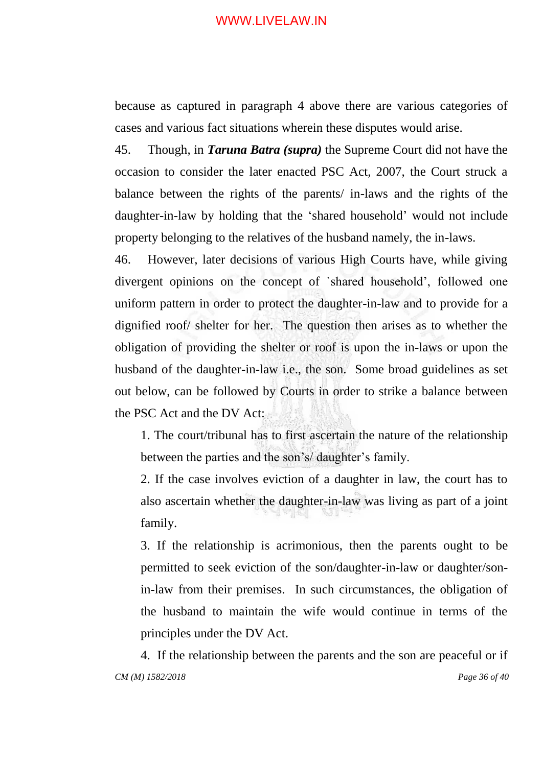because as captured in paragraph 4 above there are various categories of cases and various fact situations wherein these disputes would arise.

45. Though, in *Taruna Batra (supra)* the Supreme Court did not have the occasion to consider the later enacted PSC Act, 2007, the Court struck a balance between the rights of the parents/ in-laws and the rights of the daughter-in-law by holding that the "shared household" would not include property belonging to the relatives of the husband namely, the in-laws.

46. However, later decisions of various High Courts have, while giving divergent opinions on the concept of `shared household", followed one uniform pattern in order to protect the daughter-in-law and to provide for a dignified roof/ shelter for her. The question then arises as to whether the obligation of providing the shelter or roof is upon the in-laws or upon the husband of the daughter-in-law i.e., the son. Some broad guidelines as set out below, can be followed by Courts in order to strike a balance between the PSC Act and the DV Act:

1. The court/tribunal has to first ascertain the nature of the relationship between the parties and the son's/ daughter's family.

2. If the case involves eviction of a daughter in law, the court has to also ascertain whether the daughter-in-law was living as part of a joint family.

3. If the relationship is acrimonious, then the parents ought to be permitted to seek eviction of the son/daughter-in-law or daughter/sonin-law from their premises. In such circumstances, the obligation of the husband to maintain the wife would continue in terms of the principles under the DV Act.

*CM (M) 1582/2018 Page 36 of 40* 4. If the relationship between the parents and the son are peaceful or if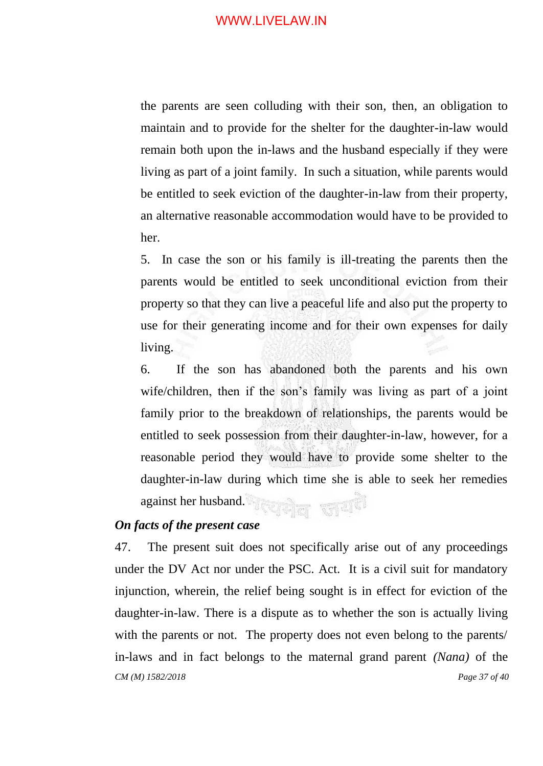the parents are seen colluding with their son, then, an obligation to maintain and to provide for the shelter for the daughter-in-law would remain both upon the in-laws and the husband especially if they were living as part of a joint family. In such a situation, while parents would be entitled to seek eviction of the daughter-in-law from their property, an alternative reasonable accommodation would have to be provided to her.

5. In case the son or his family is ill-treating the parents then the parents would be entitled to seek unconditional eviction from their property so that they can live a peaceful life and also put the property to use for their generating income and for their own expenses for daily living.

6. If the son has abandoned both the parents and his own wife/children, then if the son's family was living as part of a joint family prior to the breakdown of relationships, the parents would be entitled to seek possession from their daughter-in-law, however, for a reasonable period they would have to provide some shelter to the daughter-in-law during which time she is able to seek her remedies against her husband.

# *On facts of the present case*

*CM (M) 1582/2018 Page 37 of 40* 47. The present suit does not specifically arise out of any proceedings under the DV Act nor under the PSC. Act. It is a civil suit for mandatory injunction, wherein, the relief being sought is in effect for eviction of the daughter-in-law. There is a dispute as to whether the son is actually living with the parents or not. The property does not even belong to the parents/ in-laws and in fact belongs to the maternal grand parent *(Nana)* of the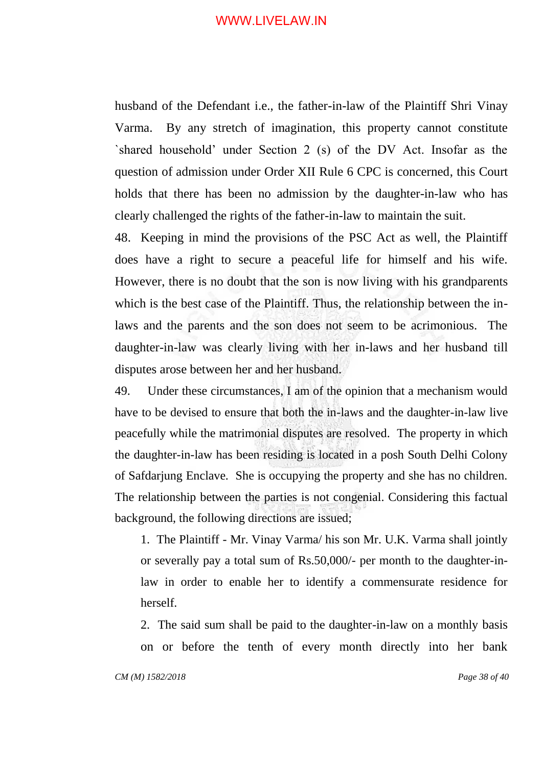husband of the Defendant i.e., the father-in-law of the Plaintiff Shri Vinay Varma. By any stretch of imagination, this property cannot constitute `shared household" under Section 2 (s) of the DV Act. Insofar as the question of admission under Order XII Rule 6 CPC is concerned, this Court holds that there has been no admission by the daughter-in-law who has clearly challenged the rights of the father-in-law to maintain the suit.

48. Keeping in mind the provisions of the PSC Act as well, the Plaintiff does have a right to secure a peaceful life for himself and his wife. However, there is no doubt that the son is now living with his grandparents which is the best case of the Plaintiff. Thus, the relationship between the inlaws and the parents and the son does not seem to be acrimonious. The daughter-in-law was clearly living with her in-laws and her husband till disputes arose between her and her husband.

49. Under these circumstances, I am of the opinion that a mechanism would have to be devised to ensure that both the in-laws and the daughter-in-law live peacefully while the matrimonial disputes are resolved. The property in which the daughter-in-law has been residing is located in a posh South Delhi Colony of Safdarjung Enclave. She is occupying the property and she has no children. The relationship between the parties is not congenial. Considering this factual background, the following directions are issued;

1. The Plaintiff - Mr. Vinay Varma/ his son Mr. U.K. Varma shall jointly or severally pay a total sum of Rs.50,000/- per month to the daughter-inlaw in order to enable her to identify a commensurate residence for herself.

2. The said sum shall be paid to the daughter-in-law on a monthly basis on or before the tenth of every month directly into her bank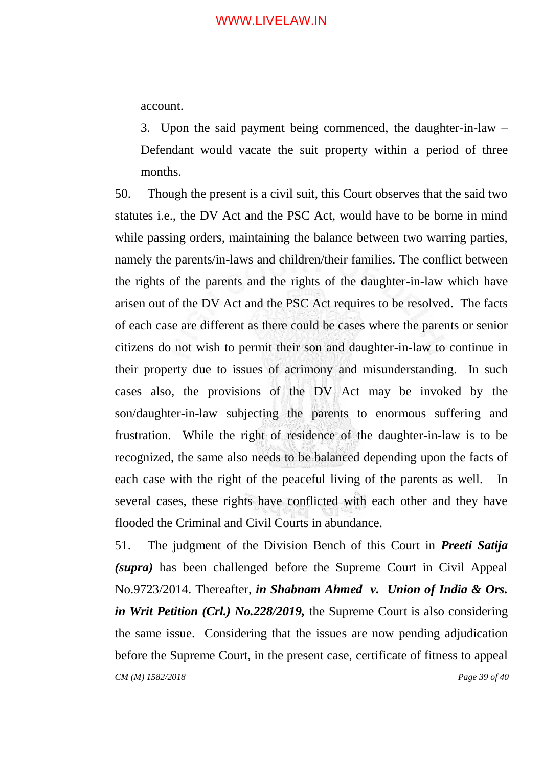account.

3. Upon the said payment being commenced, the daughter-in-law – Defendant would vacate the suit property within a period of three months.

50. Though the present is a civil suit, this Court observes that the said two statutes i.e., the DV Act and the PSC Act, would have to be borne in mind while passing orders, maintaining the balance between two warring parties, namely the parents/in-laws and children/their families. The conflict between the rights of the parents and the rights of the daughter-in-law which have arisen out of the DV Act and the PSC Act requires to be resolved. The facts of each case are different as there could be cases where the parents or senior citizens do not wish to permit their son and daughter-in-law to continue in their property due to issues of acrimony and misunderstanding. In such cases also, the provisions of the DV Act may be invoked by the son/daughter-in-law subjecting the parents to enormous suffering and frustration. While the right of residence of the daughter-in-law is to be recognized, the same also needs to be balanced depending upon the facts of each case with the right of the peaceful living of the parents as well. In several cases, these rights have conflicted with each other and they have flooded the Criminal and Civil Courts in abundance.

*CM (M) 1582/2018 Page 39 of 40* 51. The judgment of the Division Bench of this Court in *Preeti Satija (supra)* has been challenged before the Supreme Court in Civil Appeal No.9723/2014. Thereafter, *in Shabnam Ahmed v. Union of India & Ors. in Writ Petition (Crl.) No.228/2019,* the Supreme Court is also considering the same issue. Considering that the issues are now pending adjudication before the Supreme Court, in the present case, certificate of fitness to appeal